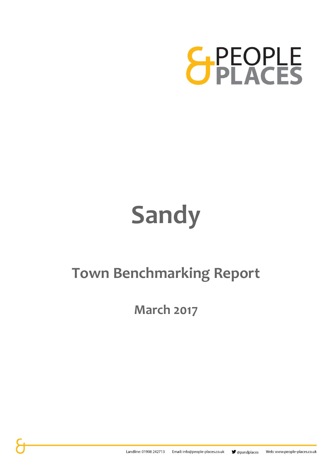

# **Sandy**

### **Town Benchmarking Report**

**March 2017**

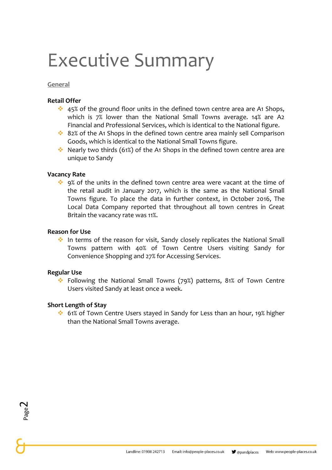## Executive Summary

**General**

#### **Retail Offer**

- $\dots$  45% of the ground floor units in the defined town centre area are A1 Shops, which is 7% lower than the National Small Towns average. 14% are A2 Financial and Professional Services, which is identical to the National figure.
- ❖ 82% of the A1 Shops in the defined town centre area mainly sell Comparison Goods, which is identical to the National Small Towns figure.
- ❖ Nearly two thirds (61%) of the A1 Shops in the defined town centre area are unique to Sandy

#### **Vacancy Rate**

 $\cdot\cdot\cdot$  9% of the units in the defined town centre area were vacant at the time of the retail audit in January 2017, which is the same as the National Small Towns figure. To place the data in further context, in October 2016, The Local Data Company reported that throughout all town centres in Great Britain the vacancy rate was 11%.

#### **Reason for Use**

❖ In terms of the reason for visit, Sandy closely replicates the National Small Towns pattern with 40% of Town Centre Users visiting Sandy for Convenience Shopping and 27% for Accessing Services.

#### **Regular Use**

❖ Following the National Small Towns (79%) patterns, 81% of Town Centre Users visited Sandy at least once a week.

#### **Short Length of Stay**

❖ 61% of Town Centre Users stayed in Sandy for Less than an hour, 19% higher than the National Small Towns average.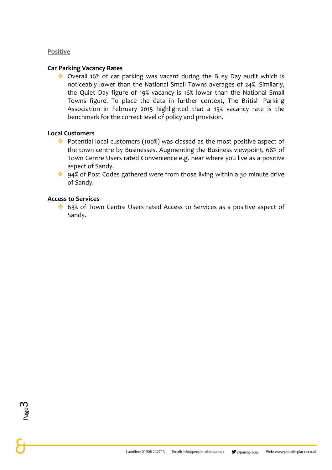#### **Positive**

#### **Car Parking Vacancy Rates**

❖ Overall 16% of car parking was vacant during the Busy Day audit which is noticeably lower than the National Small Towns averages of 24%. Similarly, the Quiet Day figure of 19% vacancy is 16% lower than the National Small Towns figure. To place the data in further context, The British Parking Association in February 2015 highlighted that a 15% vacancy rate is the benchmark for the correct level of policy and provision.

#### **Local Customers**

- ❖ Potential local customers (100%) was classed as the most positive aspect of the town centre by Businesses. Augmenting the Business viewpoint, 68% of Town Centre Users rated Convenience e.g. near where you live as a positive aspect of Sandy.
- ❖ 94% of Post Codes gathered were from those living within a 30 minute drive of Sandy.

#### **Access to Services**

❖ 63% of Town Centre Users rated Access to Services as a positive aspect of Sandy.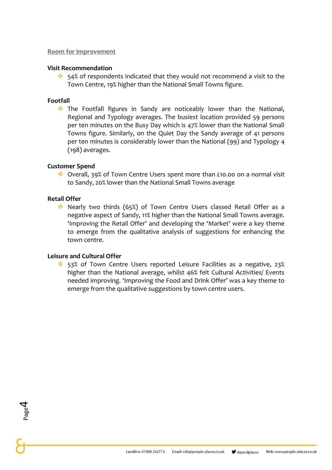#### **Room for Improvement**

#### **Visit Recommendation**

❖ 54% of respondents indicated that they would not recommend a visit to the Town Centre, 19% higher than the National Small Towns figure.

#### **Footfall**

❖ The Footfall figures in Sandy are noticeably lower than the National, Regional and Typology averages. The busiest location provided 59 persons per ten minutes on the Busy Day which is 47% lower than the National Small Towns figure. Similarly, on the Quiet Day the Sandy average of 41 persons per ten minutes is considerably lower than the National (99) and Typology 4 (198) averages.

#### **Customer Spend**

❖ Overall, 39% of Town Centre Users spent more than £10.00 on a normal visit to Sandy, 20% lower than the National Small Towns average

#### **Retail Offer**

Page 4

❖ Nearly two thirds (65%) of Town Centre Users classed Retail Offer as a negative aspect of Sandy, 11% higher than the National Small Towns average. 'Improving the Retail Offer' and developing the 'Market' were a key theme to emerge from the qualitative analysis of suggestions for enhancing the town centre.

#### **Leisure and Cultural Offer**

❖ 53% of Town Centre Users reported Leisure Facilities as a negative, 23% higher than the National average, whilst 46% felt Cultural Activities/ Events needed improving. 'Improving the Food and Drink Offer' was a key theme to emerge from the qualitative suggestions by town centre users.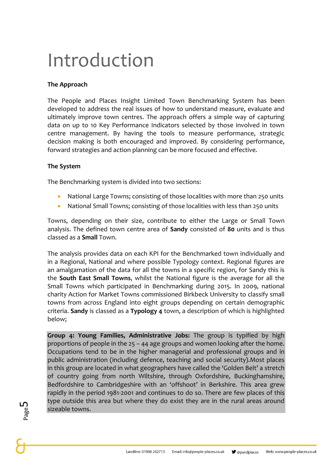## Introduction

#### **The Approach**

The People and Places Insight Limited Town Benchmarking System has been developed to address the real issues of how to understand measure, evaluate and ultimately improve town centres. The approach offers a simple way of capturing data on up to 10 Key Performance Indicators selected by those involved in town centre management. By having the tools to measure performance, strategic decision making is both encouraged and improved. By considering performance, forward strategies and action planning can be more focused and effective.

#### **The System**

The Benchmarking system is divided into two sections:

- National Large Towns; consisting of those localities with more than 250 units
- National Small Towns; consisting of those localities with less than 250 units

Towns, depending on their size, contribute to either the Large or Small Town analysis. The defined town centre area of **Sandy** consisted of **80** units and is thus classed as a **Small** Town.

The analysis provides data on each KPI for the Benchmarked town individually and in a Regional, National and where possible Typology context. Regional figures are an amalgamation of the data for all the towns in a specific region, for Sandy this is the **South East Small Towns**, whilst the National figure is the average for all the Small Towns which participated in Benchmarking during 2015. In 2009, national charity Action for Market Towns commissioned Birkbeck University to classify small towns from across England into eight groups depending on certain demographic criteria. **Sandy** is classed as a **Typology 4** town, a description of which is highlighted below;

**Group 4: Young Families, Administrative Jobs:** The group is typified by high proportions of people in the 25 – 44 age groups and women looking after the home. Occupations tend to be in the higher managerial and professional groups and in public administration (including defence, teaching and social security).Most places in this group are located in what geographers have called the 'Golden Belt' a stretch of country going from north Wiltshire, through Oxfordshire, Buckinghamshire, Bedfordshire to Cambridgeshire with an 'offshoot' in Berkshire. This area grew rapidly in the period 1981-2001 and continues to do so. There are few places of this type outside this area but where they do exist they are in the rural areas around sizeable towns.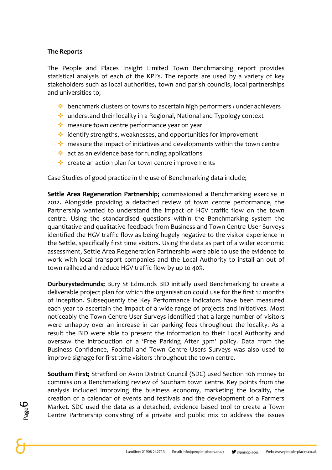#### **The Reports**

The People and Places Insight Limited Town Benchmarking report provides statistical analysis of each of the KPI's. The reports are used by a variety of key stakeholders such as local authorities, town and parish councils, local partnerships and universities to;

- ❖ benchmark clusters of towns to ascertain high performers / under achievers
- ❖ understand their locality in a Regional, National and Typology context
- ❖ measure town centre performance year on year
- ❖ identify strengths, weaknesses, and opportunities for improvement
- ❖ measure the impact of initiatives and developments within the town centre
- ❖ act as an evidence base for funding applications
- ❖ create an action plan for town centre improvements

Case Studies of good practice in the use of Benchmarking data include;

**Settle Area Regeneration Partnership;** commissioned a Benchmarking exercise in 2012. Alongside providing a detached review of town centre performance, the Partnership wanted to understand the impact of HGV traffic flow on the town centre. Using the standardised questions within the Benchmarking system the quantitative and qualitative feedback from Business and Town Centre User Surveys identified the HGV traffic flow as being hugely negative to the visitor experience in the Settle, specifically first time visitors. Using the data as part of a wider economic assessment, Settle Area Regeneration Partnership were able to use the evidence to work with local transport companies and the Local Authority to install an out of town railhead and reduce HGV traffic flow by up to 40%.

**Ourburystedmunds;** Bury St Edmunds BID initially used Benchmarking to create a deliverable project plan for which the organisation could use for the first 12 months of inception. Subsequently the Key Performance Indicators have been measured each year to ascertain the impact of a wide range of projects and initiatives. Most noticeably the Town Centre User Surveys identified that a large number of visitors were unhappy over an increase in car parking fees throughout the locality. As a result the BID were able to present the information to their Local Authority and oversaw the introduction of a 'Free Parking After 3pm' policy. Data from the Business Confidence, Footfall and Town Centre Users Surveys was also used to improve signage for first time visitors throughout the town centre.

**Southam First;** Stratford on Avon District Council (SDC) used Section 106 money to commission a Benchmarking review of Southam town centre. Key points from the analysis included improving the business economy, marketing the locality, the creation of a calendar of events and festivals and the development of a Farmers Market. SDC used the data as a detached, evidence based tool to create a Town Centre Partnership consisting of a private and public mix to address the issues

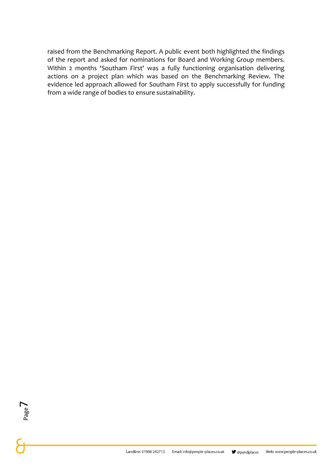raised from the Benchmarking Report. A public event both highlighted the findings of the report and asked for nominations for Board and Working Group members. Within 2 months 'Southam First' was a fully functioning organisation delivering actions on a project plan which was based on the Benchmarking Review. The evidence led approach allowed for Southam First to apply successfully for funding from a wide range of bodies to ensure sustainability.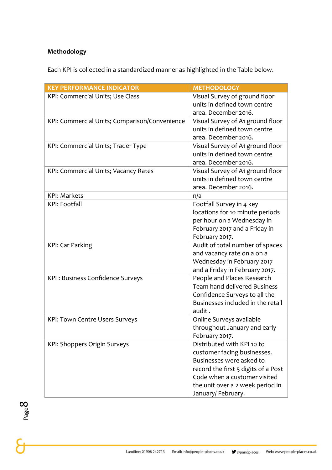#### **Methodology**

Each KPI is collected in a standardized manner as highlighted in the Table below.

| <b>KEY PERFORMANCE INDICATOR</b>              | <b>METHODOLOGY</b>                           |
|-----------------------------------------------|----------------------------------------------|
| KPI: Commercial Units; Use Class              | Visual Survey of ground floor                |
|                                               | units in defined town centre                 |
|                                               | area. December 2016.                         |
| KPI: Commercial Units; Comparison/Convenience | Visual Survey of A <sub>1</sub> ground floor |
|                                               | units in defined town centre                 |
|                                               | area. December 2016.                         |
| KPI: Commercial Units; Trader Type            | Visual Survey of A1 ground floor             |
|                                               | units in defined town centre                 |
|                                               | area. December 2016.                         |
| KPI: Commercial Units; Vacancy Rates          | Visual Survey of A1 ground floor             |
|                                               | units in defined town centre                 |
|                                               | area. December 2016.                         |
| <b>KPI: Markets</b>                           | n/a                                          |
| <b>KPI: Footfall</b>                          | Footfall Survey in 4 key                     |
|                                               | locations for 10 minute periods              |
|                                               | per hour on a Wednesday in                   |
|                                               | February 2017 and a Friday in                |
|                                               | February 2017.                               |
| KPI: Car Parking                              | Audit of total number of spaces              |
|                                               | and vacancy rate on a on a                   |
|                                               | Wednesday in February 2017                   |
|                                               | and a Friday in February 2017.               |
| <b>KPI: Business Confidence Surveys</b>       | People and Places Research                   |
|                                               | <b>Team hand delivered Business</b>          |
|                                               | Confidence Surveys to all the                |
|                                               | Businesses included in the retail            |
|                                               | audit.                                       |
| <b>KPI: Town Centre Users Surveys</b>         | Online Surveys available                     |
|                                               | throughout January and early                 |
|                                               | February 2017.                               |
| KPI: Shoppers Origin Surveys                  | Distributed with KPI 10 to                   |
|                                               | customer facing businesses.                  |
|                                               | Businesses were asked to                     |
|                                               | record the first 5 digits of a Post          |
|                                               | Code when a customer visited                 |
|                                               | the unit over a 2 week period in             |
|                                               | January/February.                            |

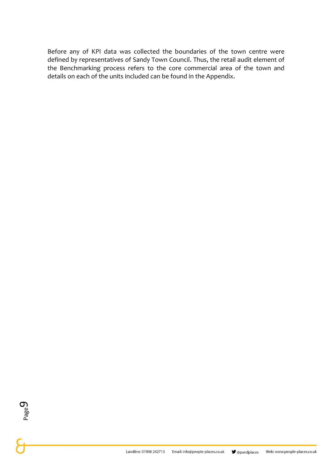Before any of KPI data was collected the boundaries of the town centre were defined by representatives of Sandy Town Council. Thus, the retail audit element of the Benchmarking process refers to the core commercial area of the town and details on each of the units included can be found in the Appendix.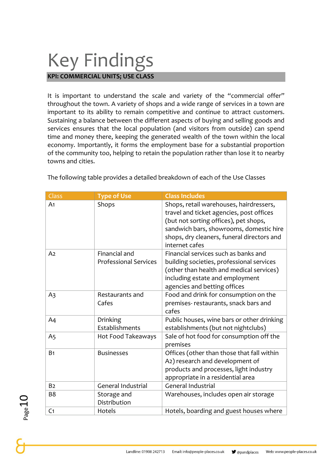## Key Findings

**KPI: COMMERCIAL UNITS; USE CLASS**

It is important to understand the scale and variety of the "commercial offer" throughout the town. A variety of shops and a wide range of services in a town are important to its ability to remain competitive and continue to attract customers. Sustaining a balance between the different aspects of buying and selling goods and services ensures that the local population (and visitors from outside) can spend time and money there, keeping the generated wealth of the town within the local economy. Importantly, it forms the employment base for a substantial proportion of the community too, helping to retain the population rather than lose it to nearby towns and cities.

| Class          | <b>Type of Use</b>                            | <b>Class Includes</b>                                                                                                                                                                                                                   |
|----------------|-----------------------------------------------|-----------------------------------------------------------------------------------------------------------------------------------------------------------------------------------------------------------------------------------------|
| A <sub>1</sub> | Shops                                         | Shops, retail warehouses, hairdressers,<br>travel and ticket agencies, post offices<br>(but not sorting offices), pet shops,<br>sandwich bars, showrooms, domestic hire<br>shops, dry cleaners, funeral directors and<br>internet cafes |
| A <sub>2</sub> | Financial and<br><b>Professional Services</b> | Financial services such as banks and<br>building societies, professional services<br>(other than health and medical services)<br>including estate and employment<br>agencies and betting offices                                        |
| A <sub>3</sub> | Restaurants and<br>Cafes                      | Food and drink for consumption on the<br>premises- restaurants, snack bars and<br>cafes                                                                                                                                                 |
| A4             | Drinking<br>Establishments                    | Public houses, wine bars or other drinking<br>establishments (but not nightclubs)                                                                                                                                                       |
| A <sub>5</sub> | Hot Food Takeaways                            | Sale of hot food for consumption off the<br>premises                                                                                                                                                                                    |
| B <sub>1</sub> | <b>Businesses</b>                             | Offices (other than those that fall within<br>A2) research and development of<br>products and processes, light industry<br>appropriate in a residential area                                                                            |
| B <sub>2</sub> | <b>General Industrial</b>                     | <b>General Industrial</b>                                                                                                                                                                                                               |
| B <sub>8</sub> | Storage and<br>Distribution                   | Warehouses, includes open air storage                                                                                                                                                                                                   |
| C <sub>1</sub> | Hotels                                        | Hotels, boarding and guest houses where                                                                                                                                                                                                 |

The following table provides a detailed breakdown of each of the Use Classes

```
Page1
```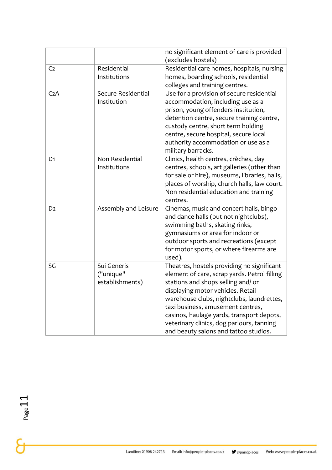|                  |                                             | no significant element of care is provided<br>(excludes hostels)                                                                                                                                                                                                                                                                                                                           |
|------------------|---------------------------------------------|--------------------------------------------------------------------------------------------------------------------------------------------------------------------------------------------------------------------------------------------------------------------------------------------------------------------------------------------------------------------------------------------|
| C <sub>2</sub>   | Residential<br>Institutions                 | Residential care homes, hospitals, nursing<br>homes, boarding schools, residential<br>colleges and training centres.                                                                                                                                                                                                                                                                       |
| C <sub>2</sub> A | Secure Residential<br>Institution           | Use for a provision of secure residential<br>accommodation, including use as a<br>prison, young offenders institution,<br>detention centre, secure training centre,<br>custody centre, short term holding<br>centre, secure hospital, secure local<br>authority accommodation or use as a<br>military barracks.                                                                            |
| D <sub>1</sub>   | Non Residential<br>Institutions             | Clinics, health centres, crèches, day<br>centres, schools, art galleries (other than<br>for sale or hire), museums, libraries, halls,<br>places of worship, church halls, law court.<br>Non residential education and training<br>centres.                                                                                                                                                 |
| D <sub>2</sub>   | Assembly and Leisure                        | Cinemas, music and concert halls, bingo<br>and dance halls (but not nightclubs),<br>swimming baths, skating rinks,<br>gymnasiums or area for indoor or<br>outdoor sports and recreations (except<br>for motor sports, or where firearms are<br>used).                                                                                                                                      |
| SG               | Sui Generis<br>("unique"<br>establishments) | Theatres, hostels providing no significant<br>element of care, scrap yards. Petrol filling<br>stations and shops selling and/ or<br>displaying motor vehicles. Retail<br>warehouse clubs, nightclubs, laundrettes,<br>taxi business, amusement centres,<br>casinos, haulage yards, transport depots,<br>veterinary clinics, dog parlours, tanning<br>and beauty salons and tattoo studios. |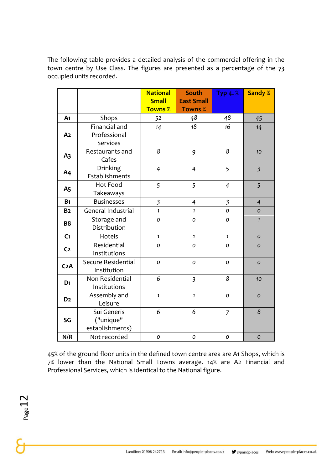The following table provides a detailed analysis of the commercial offering in the town centre by Use Class. The figures are presented as a percentage of the **73** occupied units recorded.

|                  |                                             | <b>National</b><br><b>Small</b> | <b>South</b><br><b>East Small</b> | Typ $4. %$     | <b>Sandy %</b> |
|------------------|---------------------------------------------|---------------------------------|-----------------------------------|----------------|----------------|
|                  |                                             | <b>Towns %</b>                  | <b>Towns %</b>                    |                |                |
| A <sub>1</sub>   | Shops                                       | 52                              | 48                                | 48             | 45             |
| A <sub>2</sub>   | Financial and<br>Professional<br>Services   | 14                              | 18                                | 16             | 14             |
| A <sub>3</sub>   | Restaurants and<br>Cafes                    | 8                               | 9                                 | 8              | 10             |
| A <sub>4</sub>   | Drinking<br>Establishments                  | $\overline{4}$                  | $\overline{4}$                    | 5              | $\overline{3}$ |
| A <sub>5</sub>   | <b>Hot Food</b><br>Takeaways                | 5                               | 5                                 | $\overline{4}$ | 5              |
| B <sub>1</sub>   | <b>Businesses</b>                           | $\overline{\mathbf{3}}$         | $\overline{4}$                    | $\mathfrak{Z}$ | $\overline{4}$ |
| B <sub>2</sub>   | General Industrial                          | $\mathbf{1}$                    | $\mathbf{1}$                      | 0              | $\mathcal{O}$  |
| <b>B8</b>        | Storage and<br>Distribution                 | 0                               | 0                                 | $\mathcal{O}$  | $\mathbf{1}$   |
| C <sub>1</sub>   | Hotels                                      | $\mathbf{1}$                    | $\mathbf{1}$                      | $\mathbf{1}$   | $\mathcal{O}$  |
| C <sub>2</sub>   | Residential<br>Institutions                 | 0                               | $\mathcal{O}$                     | 0              | $\mathcal{O}$  |
| C <sub>2</sub> A | Secure Residential<br>Institution           | $\boldsymbol{O}$                | 0                                 | 0              | $\mathcal{O}$  |
| D <sub>1</sub>   | Non Residential<br>Institutions             | 6                               | $\overline{\mathbf{3}}$           | 8              | 10             |
| D <sub>2</sub>   | Assembly and<br>Leisure                     | $\mathbf{1}$                    | $\mathbf{1}$                      | 0              | $\mathcal{O}$  |
| SG               | Sui Generis<br>("unique"<br>establishments) | 6                               | 6                                 | $\overline{7}$ | 8              |
| N/R              | Not recorded                                | $\mathcal{O}$                   | $\mathcal{O}$                     | $\mathcal{O}$  | $\mathcal{O}$  |

45% of the ground floor units in the defined town centre area are A1 Shops, which is 7% lower than the National Small Towns average. 14% are A2 Financial and Professional Services, which is identical to the National figure.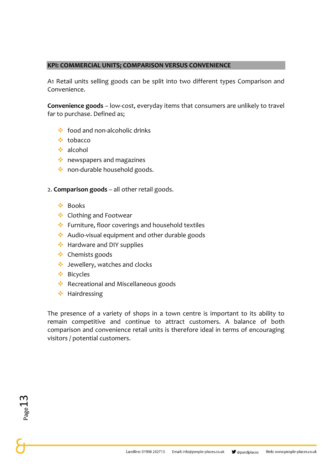#### **KPI: COMMERCIAL UNITS; COMPARISON VERSUS CONVENIENCE**

A1 Retail units selling goods can be split into two different types Comparison and Convenience.

**Convenience goods** – low-cost, everyday items that consumers are unlikely to travel far to purchase. Defined as;

- ❖ food and non-alcoholic drinks
- ❖ tobacco
- ❖ alcohol
- ❖ newspapers and magazines
- ❖ non-durable household goods.

2. **Comparison goods** – all other retail goods.

- ❖ Books
- ❖ Clothing and Footwear
- ❖ Furniture, floor coverings and household textiles
- ❖ Audio-visual equipment and other durable goods
- ❖ Hardware and DIY supplies
- ❖ Chemists goods
- ❖ Jewellery, watches and clocks
- ❖ Bicycles
- ❖ Recreational and Miscellaneous goods
- ❖ Hairdressing

The presence of a variety of shops in a town centre is important to its ability to remain competitive and continue to attract customers. A balance of both comparison and convenience retail units is therefore ideal in terms of encouraging visitors / potential customers.

 $Page13$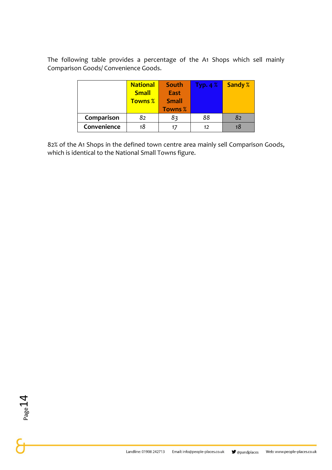The following table provides a percentage of the A1 Shops which sell mainly Comparison Goods/ Convenience Goods.

|            | <b>National</b> | South          | Typ. $4\%$ | <b>Sandy %</b> |
|------------|-----------------|----------------|------------|----------------|
|            | <b>Small</b>    | <b>East</b>    |            |                |
|            | <b>Towns %</b>  | <b>Small</b>   |            |                |
|            |                 |                |            |                |
|            |                 | <b>Towns %</b> |            |                |
| Comparison | 82              | 83             | 88         | 82             |

82% of the A1 Shops in the defined town centre area mainly sell Comparison Goods, which is identical to the National Small Towns figure.

 $P_{\text{age}}14$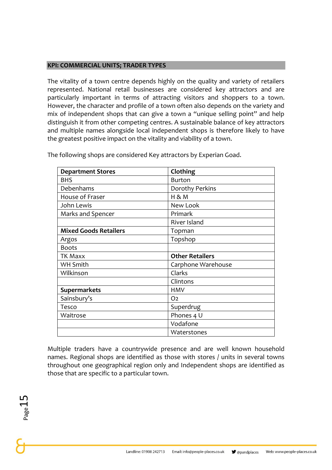#### **KPI: COMMERCIAL UNITS; TRADER TYPES**

The vitality of a town centre depends highly on the quality and variety of retailers represented. National retail businesses are considered key attractors and are particularly important in terms of attracting visitors and shoppers to a town. However, the character and profile of a town often also depends on the variety and mix of independent shops that can give a town a "unique selling point" and help distinguish it from other competing centres. A sustainable balance of key attractors and multiple names alongside local independent shops is therefore likely to have the greatest positive impact on the vitality and viability of a town.

| <b>Department Stores</b>     | Clothing               |
|------------------------------|------------------------|
| <b>BHS</b>                   | <b>Burton</b>          |
| Debenhams                    | Dorothy Perkins        |
| House of Fraser              | H 8 M                  |
| John Lewis                   | New Look               |
| Marks and Spencer            | Primark                |
|                              | River Island           |
| <b>Mixed Goods Retailers</b> | Topman                 |
| Argos                        | Topshop                |
| <b>Boots</b>                 |                        |
|                              |                        |
| <b>TK Maxx</b>               | <b>Other Retailers</b> |
| <b>WH Smith</b>              | Carphone Warehouse     |
| Wilkinson                    | Clarks                 |
|                              | Clintons               |
| <b>Supermarkets</b>          | <b>HMV</b>             |
| Sainsbury's                  | O <sub>2</sub>         |
| Tesco                        | Superdrug              |
| Waitrose                     | Phones 4 U             |
|                              | Vodafone               |

The following shops are considered Key attractors by Experian Goad.

Multiple traders have a countrywide presence and are well known household names. Regional shops are identified as those with stores / units in several towns throughout one geographical region only and Independent shops are identified as those that are specific to a particular town.

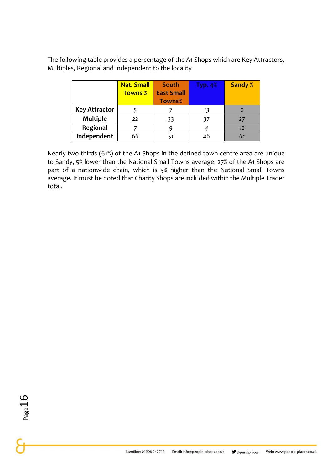The following table provides a percentage of the A1 Shops which are Key Attractors, Multiples, Regional and Independent to the locality

|                      | <b>Nat. Small</b> | <b>South</b>      | Typ. $4%$ | <b>Sandy %</b> |
|----------------------|-------------------|-------------------|-----------|----------------|
|                      | <b>Towns %</b>    | <b>East Small</b> |           |                |
|                      |                   | <b>Towns%</b>     |           |                |
| <b>Key Attractor</b> |                   |                   | 13        |                |
| <b>Multiple</b>      | 22                | 33                | 37        |                |
| Regional             |                   |                   |           | 12             |
| Independent          | 66                |                   | 46        |                |

Nearly two thirds (61%) of the A1 Shops in the defined town centre area are unique to Sandy, 5% lower than the National Small Towns average. 27% of the A1 Shops are part of a nationwide chain, which is 5% higher than the National Small Towns average. It must be noted that Charity Shops are included within the Multiple Trader total.

Page 16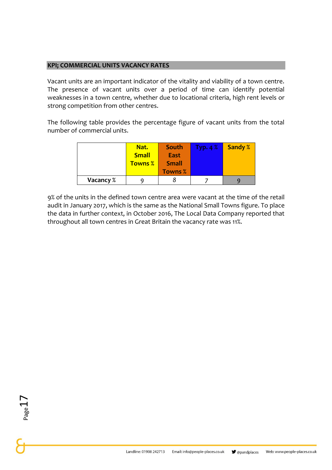#### **KPI; COMMERCIAL UNITS VACANCY RATES**

Vacant units are an important indicator of the vitality and viability of a town centre. The presence of vacant units over a period of time can identify potential weaknesses in a town centre, whether due to locational criteria, high rent levels or strong competition from other centres.

The following table provides the percentage figure of vacant units from the total number of commercial units.

|           | Nat.<br><b>Small</b><br><b>Towns %</b> | South<br><b>East</b><br><b>Small</b><br><b>Towns %</b> | Typ. $4\%$ | <b>Sandy %</b> |
|-----------|----------------------------------------|--------------------------------------------------------|------------|----------------|
|           |                                        |                                                        |            |                |
| Vacancy % |                                        |                                                        |            |                |

9% of the units in the defined town centre area were vacant at the time of the retail audit in January 2017, which is the same as the National Small Towns figure. To place the data in further context, in October 2016, The Local Data Company reported that throughout all town centres in Great Britain the vacancy rate was 11%.

 $Page<sub>1</sub>$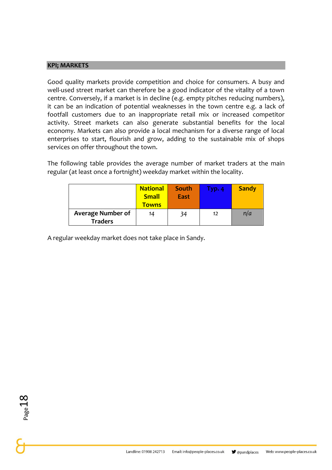#### **KPI; MARKETS**

Good quality markets provide competition and choice for consumers. A busy and well-used street market can therefore be a good indicator of the vitality of a town centre. Conversely, if a market is in decline (e.g. empty pitches reducing numbers), it can be an indication of potential weaknesses in the town centre e.g. a lack of footfall customers due to an inappropriate retail mix or increased competitor activity. Street markets can also generate substantial benefits for the local economy. Markets can also provide a local mechanism for a diverse range of local enterprises to start, flourish and grow, adding to the sustainable mix of shops services on offer throughout the town.

The following table provides the average number of market traders at the main regular (at least once a fortnight) weekday market within the locality.

|                                            | <b>National</b><br><b>Small</b><br><u>Towns</u> | South<br><b>East</b> | Typ. 4 | <b>Sandy</b> |
|--------------------------------------------|-------------------------------------------------|----------------------|--------|--------------|
| <b>Average Number of</b><br><b>Traders</b> | 14                                              | 34                   | 12     | n/a          |

A regular weekday market does not take place in Sandy.

Page 18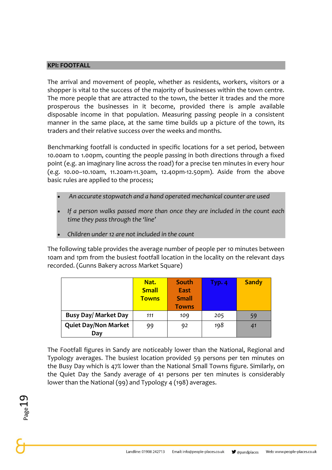#### **KPI: FOOTFALL**

The arrival and movement of people, whether as residents, workers, visitors or a shopper is vital to the success of the majority of businesses within the town centre. The more people that are attracted to the town, the better it trades and the more prosperous the businesses in it become, provided there is ample available disposable income in that population. Measuring passing people in a consistent manner in the same place, at the same time builds up a picture of the town, its traders and their relative success over the weeks and months.

Benchmarking footfall is conducted in specific locations for a set period, between 10.00am to 1.00pm, counting the people passing in both directions through a fixed point (e.g. an imaginary line across the road) for a precise ten minutes in every hour (e.g. 10.00–10.10am, 11.20am-11.30am, 12.40pm-12.50pm). Aside from the above basic rules are applied to the process;

- *An accurate stopwatch and a hand operated mechanical counter are used*
- *If a person walks passed more than once they are included in the count each time they pass through the 'line'*
- *Children under 12 are not included in the count*

The following table provides the average number of people per 10 minutes between 10am and 1pm from the busiest footfall location in the locality on the relevant days recorded. (Gunns Bakery across Market Square)

|                             | Nat.         | South        | Typ. 4 | <b>Sandy</b> |
|-----------------------------|--------------|--------------|--------|--------------|
|                             | <b>Small</b> | <b>East</b>  |        |              |
|                             | <b>Towns</b> | <b>Small</b> |        |              |
|                             |              | <b>Towns</b> |        |              |
| <b>Busy Day/ Market Day</b> | 111          | 109          | 205    | 59           |
| <b>Quiet Day/Non Market</b> | 99           | 92           | 198    | 41           |
| Day                         |              |              |        |              |

The Footfall figures in Sandy are noticeably lower than the National, Regional and Typology averages. The busiest location provided 59 persons per ten minutes on the Busy Day which is 47% lower than the National Small Towns figure. Similarly, on the Quiet Day the Sandy average of 41 persons per ten minutes is considerably lower than the National (99) and Typology 4 (198) averages.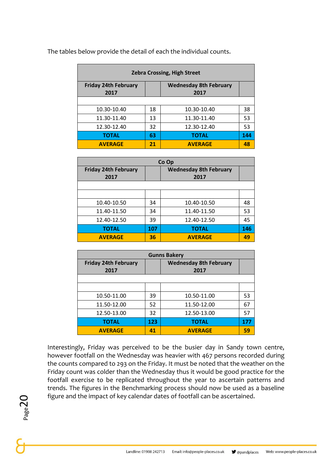| <b>Zebra Crossing, High Street</b> |    |                               |     |  |
|------------------------------------|----|-------------------------------|-----|--|
| <b>Friday 24th February</b>        |    | <b>Wednesday 8th February</b> |     |  |
| 2017                               |    | 2017                          |     |  |
|                                    |    |                               |     |  |
| 10.30-10.40                        | 18 | 10.30-10.40                   | 38  |  |
| 11.30-11.40                        | 13 | 11.30-11.40                   | 53  |  |
| 12.30-12.40                        | 32 | 12.30-12.40                   | 53  |  |
| <b>TOTAL</b>                       | 63 | <b>TOTAL</b>                  | 144 |  |
| <b>AVERAGE</b>                     | 21 | <b>AVERAGE</b>                | 48  |  |

The tables below provide the detail of each the individual counts.

| Co Op                       |     |                               |     |
|-----------------------------|-----|-------------------------------|-----|
| <b>Friday 24th February</b> |     | <b>Wednesday 8th February</b> |     |
| 2017                        |     | 2017                          |     |
|                             |     |                               |     |
|                             |     |                               |     |
| 10.40-10.50                 | 34  | 10.40-10.50                   | 48  |
| 11.40-11.50                 | 34  | 11.40-11.50                   | 53  |
| 12.40-12.50                 | 39  | 12.40-12.50                   | 45  |
| <b>TOTAL</b>                | 107 | <b>TOTAL</b>                  | 146 |
| <b>AVERAGE</b>              | 36  | <b>AVERAGE</b>                | 49  |

| <b>Gunns Bakery</b>                 |                                       |                |     |  |  |
|-------------------------------------|---------------------------------------|----------------|-----|--|--|
| <b>Friday 24th February</b><br>2017 | <b>Wednesday 8th February</b><br>2017 |                |     |  |  |
|                                     |                                       |                |     |  |  |
|                                     |                                       |                |     |  |  |
| 10.50-11.00                         | 39                                    | 10.50-11.00    | 53  |  |  |
| 11.50-12.00                         | 52                                    | 11.50-12.00    | 67  |  |  |
| 12.50-13.00                         | 32                                    | 12.50-13.00    | 57  |  |  |
| <b>TOTAL</b>                        | 123                                   | <b>TOTAL</b>   | 177 |  |  |
| <b>AVERAGE</b>                      | 41                                    | <b>AVERAGE</b> | 59  |  |  |

Interestingly, Friday was perceived to be the busier day in Sandy town centre, however footfall on the Wednesday was heavier with 467 persons recorded during the counts compared to 293 on the Friday. It must be noted that the weather on the Friday count was colder than the Wednesday thus it would be good practice for the footfall exercise to be replicated throughout the year to ascertain patterns and trends. The figures in the Benchmarking process should now be used as a baseline figure and the impact of key calendar dates of footfall can be ascertained.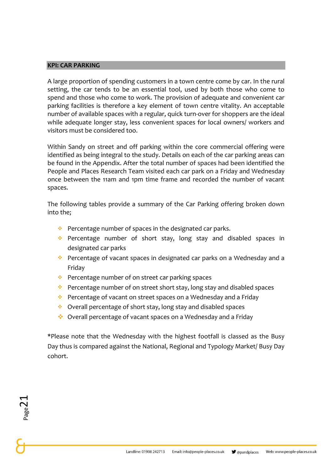#### **KPI: CAR PARKING**

A large proportion of spending customers in a town centre come by car. In the rural setting, the car tends to be an essential tool, used by both those who come to spend and those who come to work. The provision of adequate and convenient car parking facilities is therefore a key element of town centre vitality. An acceptable number of available spaces with a regular, quick turn-over for shoppers are the ideal while adequate longer stay, less convenient spaces for local owners/ workers and visitors must be considered too.

Within Sandy on street and off parking within the core commercial offering were identified as being integral to the study. Details on each of the car parking areas can be found in the Appendix. After the total number of spaces had been identified the People and Places Research Team visited each car park on a Friday and Wednesday once between the 11am and 1pm time frame and recorded the number of vacant spaces.

The following tables provide a summary of the Car Parking offering broken down into the;

- ❖ Percentage number of spaces in the designated car parks.
- ❖ Percentage number of short stay, long stay and disabled spaces in designated car parks
- ❖ Percentage of vacant spaces in designated car parks on a Wednesday and a Friday
- ❖ Percentage number of on street car parking spaces
- ❖ Percentage number of on street short stay, long stay and disabled spaces
- ❖ Percentage of vacant on street spaces on a Wednesday and a Friday
- ❖ Overall percentage of short stay, long stay and disabled spaces
- ❖ Overall percentage of vacant spaces on a Wednesday and a Friday

\*Please note that the Wednesday with the highest footfall is classed as the Busy Day thus is compared against the National, Regional and Typology Market/ Busy Day cohort.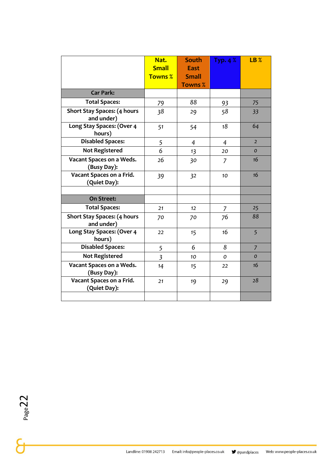|                                                  | Nat.<br><b>Small</b><br><b>Towns %</b> | <b>South</b><br><b>East</b><br><b>Small</b><br><b>Towns %</b> | Typ. $4%$      | <b>LB %</b>    |
|--------------------------------------------------|----------------------------------------|---------------------------------------------------------------|----------------|----------------|
| <b>Car Park:</b>                                 |                                        |                                                               |                |                |
| <b>Total Spaces:</b>                             | 79                                     | 88                                                            | 93             | 75             |
| <b>Short Stay Spaces: (4 hours</b><br>and under) | 38                                     | 29                                                            | 58             | 33             |
| Long Stay Spaces: (Over 4<br>hours)              | 51                                     | 54                                                            | 18             | 64             |
| <b>Disabled Spaces:</b>                          | 5                                      | $\overline{4}$                                                | $\overline{4}$ | $\overline{2}$ |
| <b>Not Registered</b>                            | 6                                      | 13                                                            | 20             | $\Omega$       |
| Vacant Spaces on a Weds.<br>(Busy Day):          | 26                                     | 30                                                            | $\overline{7}$ | 16             |
| Vacant Spaces on a Frid.<br>(Quiet Day):         | 39                                     | 3 <sup>2</sup>                                                | 10             | 16             |
| <b>On Street:</b>                                |                                        |                                                               |                |                |
| <b>Total Spaces:</b>                             | 21                                     | 12                                                            | $\overline{7}$ | 25             |
| <b>Short Stay Spaces: (4 hours</b><br>and under) | 70                                     | 70                                                            | 76             | 88             |
| Long Stay Spaces: (Over 4<br>hours)              | 22                                     | 15                                                            | 16             | 5              |
| <b>Disabled Spaces:</b>                          | 5                                      | 6                                                             | 8              | $\overline{7}$ |
| <b>Not Registered</b>                            | $\overline{3}$                         | 10                                                            | $\mathcal{O}$  | $\Omega$       |
| Vacant Spaces on a Weds.<br>(Busy Day):          | 14                                     | 15                                                            | 22             | 16             |
| Vacant Spaces on a Frid.<br>(Quiet Day):         | 21                                     | 19                                                            | 29             | 28             |
|                                                  |                                        |                                                               |                |                |

Landline: 01908 242713

Email: info@people-places.co.uk

 $\blacktriangleright$  @pandplaces

Web: www.people-places.co.uk

 $P<sub>age2</sub>22$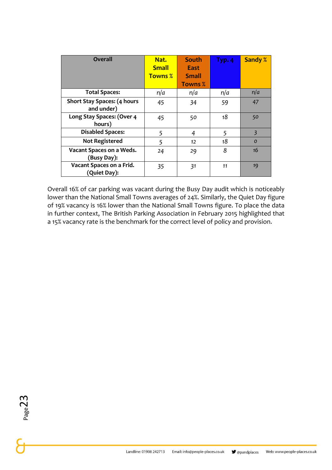| <b>Overall</b>                                   | Nat.<br><b>Small</b><br><b>Towns %</b> | <b>South</b><br>East<br><b>Small</b><br><b>Towns %</b> | Type.4 | <b>Sandy %</b> |
|--------------------------------------------------|----------------------------------------|--------------------------------------------------------|--------|----------------|
| <b>Total Spaces:</b>                             | n/a                                    | n/a                                                    | n/a    | n/a            |
| <b>Short Stay Spaces: (4 hours</b><br>and under) | 45                                     | 34                                                     | 59     | 47             |
| Long Stay Spaces: (Over 4<br>hours)              | 45                                     | 50                                                     | 18     | 50             |
| <b>Disabled Spaces:</b>                          | 5                                      | 4                                                      | 5      | $\overline{3}$ |
| <b>Not Registered</b>                            | 5                                      | 12                                                     | 18     | $\mathcal{O}$  |
| Vacant Spaces on a Weds.<br>(Busy Day):          | 24                                     | 29                                                     | 8      | 16             |
| Vacant Spaces on a Frid.<br>(Quiet Day):         | 35                                     | 31                                                     | 11     | 19             |

Overall 16% of car parking was vacant during the Busy Day audit which is noticeably lower than the National Small Towns averages of 24%. Similarly, the Quiet Day figure of 19% vacancy is 16% lower than the National Small Towns figure. To place the data in further context, The British Parking Association in February 2015 highlighted that a 15% vacancy rate is the benchmark for the correct level of policy and provision.

 $P_{{\rm age}}23$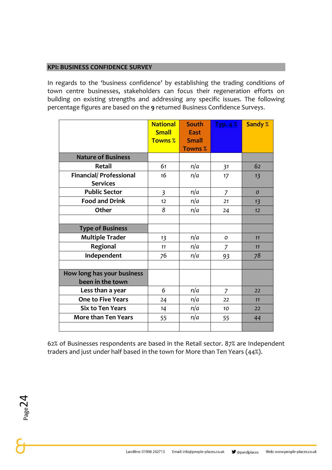#### **KPI: BUSINESS CONFIDENCE SURVEY**

In regards to the 'business confidence' by establishing the trading conditions of town centre businesses, stakeholders can focus their regeneration efforts on building on existing strengths and addressing any specific issues. The following percentage figures are based on the **9** returned Business Confidence Surveys.

|                                                   | <b>National</b><br><b>Small</b><br><b>Towns %</b> | <b>South</b><br><b>East</b><br><b>Small</b><br><b>Towns %</b> | Type.4%        | Sandy %       |
|---------------------------------------------------|---------------------------------------------------|---------------------------------------------------------------|----------------|---------------|
| <b>Nature of Business</b>                         |                                                   |                                                               |                |               |
| <b>Retail</b>                                     | 61                                                | n/a                                                           | 31             | 62            |
| <b>Financial/ Professional</b><br><b>Services</b> | 16                                                | n/a                                                           | 17             | 13            |
| <b>Public Sector</b>                              | $\overline{3}$                                    | n/a                                                           | $\overline{7}$ | $\mathcal{O}$ |
| <b>Food and Drink</b>                             | 12                                                | n/a                                                           | 21             | 13            |
| Other                                             | 8                                                 | n/a                                                           | 24             | 12            |
|                                                   |                                                   |                                                               |                |               |
| <b>Type of Business</b>                           |                                                   |                                                               |                |               |
| <b>Multiple Trader</b>                            | 13                                                | n/a                                                           | $\mathcal{O}$  | 11            |
| Regional                                          | 11                                                | n/a                                                           | 7              | 11            |
| Independent                                       | 76                                                | n/a                                                           | 93             | 78            |
|                                                   |                                                   |                                                               |                |               |
| How long has your business<br>been in the town    |                                                   |                                                               |                |               |
| Less than a year                                  | 6                                                 | n/a                                                           | $\overline{7}$ | 22            |
| <b>One to Five Years</b>                          | 24                                                | n/a                                                           | 22             | 11            |
| <b>Six to Ten Years</b>                           | 14                                                | n/a                                                           | 10             | 22            |
| <b>More than Ten Years</b>                        | 55                                                | n/a                                                           | 55             | 44            |
|                                                   |                                                   |                                                               |                |               |

62% of Businesses respondents are based in the Retail sector. 87% are Independent traders and just under half based in the town for More than Ten Years (44%).

 $P_{\text{age}}24$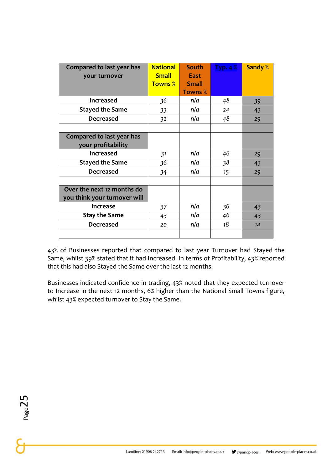| Compared to last year has<br>your turnover                 | <b>National</b><br><b>Small</b><br><b>Towns %</b> | <b>South</b><br><b>East</b><br><b>Small</b><br><b>Towns %</b> | Typ. $4\%$ | <b>Sandy %</b> |
|------------------------------------------------------------|---------------------------------------------------|---------------------------------------------------------------|------------|----------------|
| <b>Increased</b>                                           | 36                                                | n/a                                                           | 48         | 39             |
| <b>Stayed the Same</b>                                     | 33                                                | n/a                                                           | 24         | 43             |
| <b>Decreased</b>                                           | 32                                                | n/a                                                           | 48         | 29             |
|                                                            |                                                   |                                                               |            |                |
| Compared to last year has<br>your profitability            |                                                   |                                                               |            |                |
| <b>Increased</b>                                           | 31                                                | n/a                                                           | 46         | 29             |
| <b>Stayed the Same</b>                                     | 36                                                | n/a                                                           | 38         | 43             |
| <b>Decreased</b>                                           | 34                                                | n/a                                                           | 15         | 29             |
|                                                            |                                                   |                                                               |            |                |
| Over the next 12 months do<br>you think your turnover will |                                                   |                                                               |            |                |
| <b>Increase</b>                                            | 37                                                | n/a                                                           | 36         | 43             |
| <b>Stay the Same</b>                                       | 43                                                | n/a                                                           | 46         | 43             |
| <b>Decreased</b>                                           | 20                                                | n/a                                                           | 18         | 14             |
|                                                            |                                                   |                                                               |            |                |

43% of Businesses reported that compared to last year Turnover had Stayed the Same, whilst 39% stated that it had Increased. In terms of Profitability, 43% reported that this had also Stayed the Same over the last 12 months.

Businesses indicated confidence in trading, 43% noted that they expected turnover to Increase in the next 12 months, 6% higher than the National Small Towns figure, whilst 43% expected turnover to Stay the Same.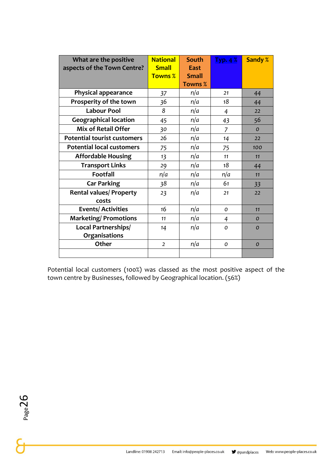| What are the positive              | <b>National</b> | South          | Typ.4%         | <b>Sandy %</b> |
|------------------------------------|-----------------|----------------|----------------|----------------|
| aspects of the Town Centre?        | <b>Small</b>    | <b>East</b>    |                |                |
|                                    | <b>Towns %</b>  | <b>Small</b>   |                |                |
|                                    |                 | <b>Towns %</b> |                |                |
| <b>Physical appearance</b>         | 37              | n/a            | 21             | 44             |
| Prosperity of the town             | 36              | n/a            | 18             | 44             |
| <b>Labour Pool</b>                 | 8               | n/a            | 4              | 22             |
| <b>Geographical location</b>       | 45              | n/a            | 43             | 56             |
| <b>Mix of Retail Offer</b>         | 30              | n/a            | $\overline{z}$ | $\mathcal{O}$  |
| <b>Potential tourist customers</b> | 26              | n/a            | 14             | 22             |
| <b>Potential local customers</b>   | 75              | n/a            | 75             | 100            |
| <b>Affordable Housing</b>          | 13              | n/a            | 11             | 11             |
| <b>Transport Links</b>             | 29              | n/a            | 18             | 44             |
| <b>Footfall</b>                    | n/a             | n/a            | n/a            | 11             |
| <b>Car Parking</b>                 | 38              | n/a            | 61             | 33             |
| <b>Rental values/ Property</b>     | 23              | n/a            | 21             | 22             |
| costs                              |                 |                |                |                |
| <b>Events/Activities</b>           | 16              | n/a            | O              | 11             |
| <b>Marketing/Promotions</b>        | 11              | n/a            | 4              | $\mathcal{O}$  |
| Local Partnerships/                | 14              | n/a            | 0              | $\Omega$       |
| Organisations                      |                 |                |                |                |
| Other                              | $\overline{2}$  | n/a            | O              | $\mathcal{O}$  |
|                                    |                 |                |                |                |

Potential local customers (100%) was classed as the most positive aspect of the town centre by Businesses, followed by Geographical location. (56%)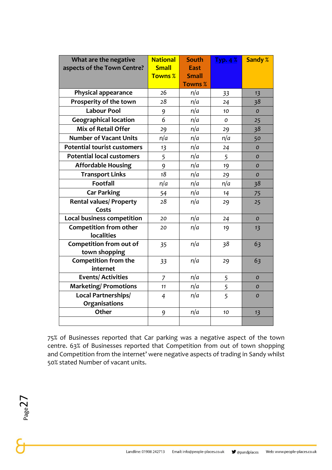| What are the negative              | <b>National</b> | <b>South</b>   | Typ. $4\%$ | <b>Sandy %</b> |
|------------------------------------|-----------------|----------------|------------|----------------|
| aspects of the Town Centre?        | <b>Small</b>    | <b>East</b>    |            |                |
|                                    | <b>Towns %</b>  | <b>Small</b>   |            |                |
|                                    |                 | <b>Towns %</b> |            |                |
| <b>Physical appearance</b>         | 26              | n/a            | 33         | 13             |
| Prosperity of the town             | 28              | n/a            | 24         | 38             |
| <b>Labour Pool</b>                 | 9               | n/a            | 10         | $\Omega$       |
| <b>Geographical location</b>       | 6               | n/a            | O          | 25             |
| <b>Mix of Retail Offer</b>         | 29              | n/a            | 29         | 38             |
| <b>Number of Vacant Units</b>      | n/a             | n/a            | n/a        | 50             |
| <b>Potential tourist customers</b> | 13              | n/a            | 24         | $\Omega$       |
| <b>Potential local customers</b>   | 5               | n/a            | 5          | $\mathcal{O}$  |
| <b>Affordable Housing</b>          | 9               | n/a            | 19         | $\Omega$       |
| <b>Transport Links</b>             | 18              | n/a            | 29         | $\mathcal{O}$  |
| <b>Footfall</b>                    | n/a             | n/a            | n/a        | 38             |
| <b>Car Parking</b>                 | 54              | n/a            | 14         | 75             |
| <b>Rental values/ Property</b>     | 28              | n/a            | 29         | 25             |
| Costs                              |                 |                |            |                |
| <b>Local business competition</b>  | 20              | n/a            | 24         | $\mathcal{O}$  |
| <b>Competition from other</b>      | 20              | n/a            | 19         | 13             |
| <b>localities</b>                  |                 |                |            |                |
| <b>Competition from out of</b>     | 35              | n/a            | 38         | 63             |
| town shopping                      |                 |                |            |                |
| Competition from the<br>internet   | 33              | n/a            | 29         | 63             |
| <b>Events/Activities</b>           | $\overline{z}$  | n/a            | 5          | $\mathcal{O}$  |
| <b>Marketing/Promotions</b>        | 11              | n/a            | 5          | $\mathcal{O}$  |
| Local Partnerships/                | 4               | n/a            | 5          | $\mathcal{O}$  |
| Organisations                      |                 |                |            |                |
| Other                              | 9               | n/a            | 10         | 13             |
|                                    |                 |                |            |                |

75% of Businesses reported that Car parking was a negative aspect of the town centre. 63% of Businesses reported that Competition from out of town shopping and Competition from the internet' were negative aspects of trading in Sandy whilst 50% stated Number of vacant units.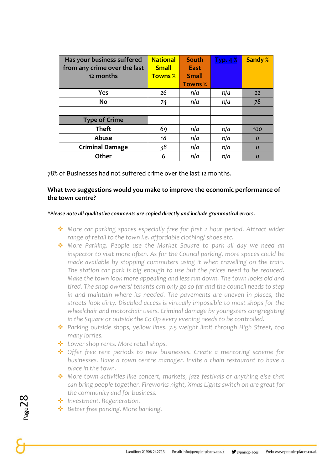| Has your business suffered<br>from any crime over the last | <b>National</b><br><b>Small</b> | <b>South</b><br>East | Typ.4% | <b>Sandy %</b> |
|------------------------------------------------------------|---------------------------------|----------------------|--------|----------------|
| 12 months                                                  | <b>Towns %</b>                  | <b>Small</b>         |        |                |
|                                                            |                                 | <b>Towns %</b>       |        |                |
| <b>Yes</b>                                                 | 26                              | n/a                  | n/a    | 22             |
| No                                                         | 74                              | n/a                  | n/a    | 78             |
|                                                            |                                 |                      |        |                |
| <b>Type of Crime</b>                                       |                                 |                      |        |                |
| <b>Theft</b>                                               | 69                              | n/a                  | n/a    | 100            |
| Abuse                                                      | 18                              | n/a                  | n/a    | $\mathcal{O}$  |
| <b>Criminal Damage</b>                                     | 38                              | n/a                  | n/a    | $\mathcal{O}$  |
| Other                                                      | 6                               | n/a                  | n/a    | $\Omega$       |

78% of Businesses had not suffered crime over the last 12 months.

#### **What two suggestions would you make to improve the economic performance of the town centre?**

#### *\*Please note all qualitative comments are copied directly and include grammatical errors.*

- ❖ *More car parking spaces especially free for first 2 hour period. Attract wider range of retail to the town i.e. affordable clothing/ shoes etc.*
- ❖ *More Parking. People use the Market Square to park all day we need an inspector to visit more often. As for the Council parking, more spaces could be made available by stopping commuters using it when travelling on the train. The station car park is big enough to use but the prices need to be reduced. Make the town look more appealing and less run down. The town looks old and tired. The shop owners/ tenants can only go so far and the council needs to step in and maintain where its needed. The pavements are uneven in places, the streets look dirty. Disabled access is virtually impossible to most shops for the wheelchair and motorchair users. Criminal damage by youngsters congregating in the Square or outside the Co Op every evening needs to be controlled.*
- ❖ *Parking outside shops, yellow lines. 7.5 weight limit through High Street, too many lorries.*
- ❖ *Lower shop rents. More retail shops.*
- ❖ *Offer free rent periods to new businesses. Create a mentoring scheme for businesses. Have a town centre manager. Invite a chain restaurant to have a place in the town.*
- ❖ *More town activities like concert, markets, jazz festivals or anything else that can bring people together. Fireworks night, Xmas Lights switch on are great for the community and for business.*
- ❖ *Investment. Regeneration.*
- ❖ *Better free parking. More banking.*

 $_{\rm Page}$ 28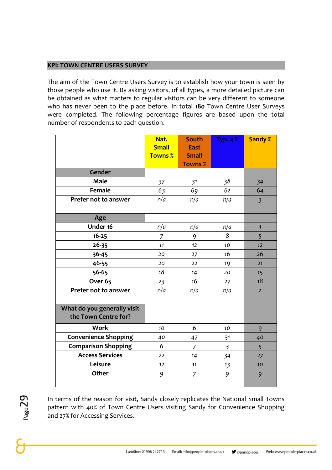#### **KPI: TOWN CENTRE USERS SURVEY**

The aim of the Town Centre Users Survey is to establish how your town is seen by those people who use it. By asking visitors, of all types, a more detailed picture can be obtained as what matters to regular visitors can be very different to someone who has never been to the place before. In total **180** Town Centre User Surveys were completed. The following percentage figures are based upon the total number of respondents to each question.

|                                                     | Nat.<br><b>Small</b> | <b>South</b><br><b>East</b>    | <b>Typ. 4 %</b> | <b>Sandy %</b> |
|-----------------------------------------------------|----------------------|--------------------------------|-----------------|----------------|
|                                                     | <b>Towns %</b>       | <b>Small</b><br><b>Towns %</b> |                 |                |
| Gender                                              |                      |                                |                 |                |
| <b>Male</b>                                         | 37                   | 31                             | 38              | 34             |
| <b>Female</b>                                       | 63                   | 69                             | 62              | 64             |
| Prefer not to answer                                | n/a                  | n/a                            | n/a             | $\overline{3}$ |
|                                                     |                      |                                |                 |                |
| Age                                                 |                      |                                |                 |                |
| Under 16                                            | n/a                  | n/a                            | n/a             | $\mathbf{1}$   |
| $16 - 25$                                           | 7                    | 9                              | 8               | 5              |
| $26 - 35$                                           | 11                   | 12                             | 10              | 12             |
| 36-45                                               | 20                   | 27                             | 16              | 26             |
| 46-55                                               | 20                   | 22                             | 19              | 21             |
| 56-65                                               | 18                   | 14                             | 20              | 15             |
| Over <sub>65</sub>                                  | 23                   | 16                             | 27              | 18             |
| Prefer not to answer                                | n/a                  | n/a                            | n/a             | $\overline{2}$ |
|                                                     |                      |                                |                 |                |
| What do you generally visit<br>the Town Centre for? |                      |                                |                 |                |
| <b>Work</b>                                         | 10                   | 6                              | 10              | 9              |
| Convenience Shopping                                | 40                   | 47                             | 31              | 40             |
| <b>Comparison Shopping</b>                          | 6                    | $\overline{7}$                 | $\overline{3}$  | 5              |
| <b>Access Services</b>                              | 22                   | 14                             | 34              | 27             |
| Leisure                                             | 12                   | 11                             | 13              | 10             |
| Other                                               | 9                    | $\overline{7}$                 | 9               | 9              |
|                                                     |                      |                                |                 |                |

Page29

In terms of the reason for visit, Sandy closely replicates the National Small Towns pattern with 40% of Town Centre Users visiting Sandy for Convenience Shopping and 27% for Accessing Services.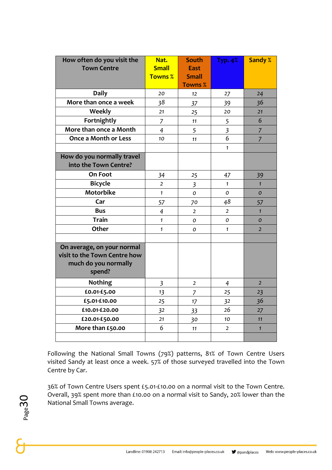| How often do you visit the<br><b>Town Centre</b>                                             | Nat.<br><b>Small</b><br><b>Towns %</b> | <b>South</b><br><b>East</b><br><b>Small</b><br><b>Towns %</b> | <b>Typ. 4%</b> | <b>Sandy %</b> |
|----------------------------------------------------------------------------------------------|----------------------------------------|---------------------------------------------------------------|----------------|----------------|
| <b>Daily</b>                                                                                 | 20                                     | 12                                                            | 27             | 24             |
| More than once a week                                                                        | 38                                     | 37                                                            | 39             | 36             |
| Weekly                                                                                       | 21                                     | 25                                                            | 20             | 21             |
| Fortnightly                                                                                  | $\overline{7}$                         | 11                                                            | 5              | 6              |
| More than once a Month                                                                       | $\overline{4}$                         | 5                                                             | $\overline{3}$ | $\overline{7}$ |
| <b>Once a Month or Less</b>                                                                  | 10 <sup>10</sup>                       | 11                                                            | 6              | $\overline{7}$ |
|                                                                                              |                                        |                                                               | $\mathbf{1}$   |                |
| How do you normally travel<br>into the Town Centre?                                          |                                        |                                                               |                |                |
| On Foot                                                                                      | 34                                     | 25                                                            | 47             | 39             |
| <b>Bicycle</b>                                                                               | $\overline{2}$                         | $\overline{\mathbf{3}}$                                       | $\mathbf{1}$   | $\mathbf{1}$   |
| <b>Motorbike</b>                                                                             | $\mathbf{1}$                           | 0                                                             | O              | $\overline{O}$ |
| Car                                                                                          | 57                                     | 70                                                            | 48             | 57             |
| <b>Bus</b>                                                                                   | $\overline{4}$                         | $\overline{2}$                                                | $\overline{2}$ | $\mathbf{1}$   |
| <b>Train</b>                                                                                 | $\mathbf{1}$                           | O                                                             | 0              | $\mathcal{O}$  |
| <b>Other</b>                                                                                 | $\mathbf{1}$                           | $\Omega$                                                      | $\mathbf{1}$   | $\overline{2}$ |
|                                                                                              |                                        |                                                               |                |                |
| On average, on your normal<br>visit to the Town Centre how<br>much do you normally<br>spend? |                                        |                                                               |                |                |
| <b>Nothing</b>                                                                               | $\overline{\mathbf{3}}$                | $\overline{2}$                                                | $\overline{4}$ | $\overline{2}$ |
| £0.01-£5.00                                                                                  | 13                                     | $\overline{7}$                                                | 25             | 23             |
| £5.01-£10.00                                                                                 | 25                                     | 17                                                            | 32             | 36             |
| £10.01-£20.00                                                                                | 32                                     | 33                                                            | 26             | 27             |
| £20.01-£50.00                                                                                | 21                                     | 30                                                            | 10             | 11             |
| More than £50.00                                                                             | 6                                      | 11                                                            | $\overline{2}$ | $\mathbf{1}$   |
|                                                                                              |                                        |                                                               |                |                |

Following the National Small Towns (79%) patterns, 81% of Town Centre Users visited Sandy at least once a week. 57% of those surveyed travelled into the Town Centre by Car.

36% of Town Centre Users spent £5.01-£10.00 on a normal visit to the Town Centre. Overall, 39% spent more than £10.00 on a normal visit to Sandy, 20% lower than the National Small Towns average.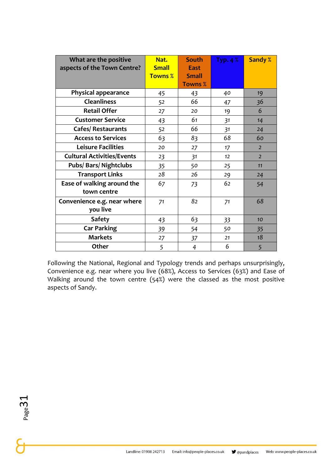| What are the positive             | Nat.           | South          | Typ. $4\%$ | <b>Sandy %</b> |
|-----------------------------------|----------------|----------------|------------|----------------|
| aspects of the Town Centre?       | <b>Small</b>   | <b>East</b>    |            |                |
|                                   | <b>Towns %</b> | <b>Small</b>   |            |                |
|                                   |                | <b>Towns %</b> |            |                |
| <b>Physical appearance</b>        | 45             | 43             | 40         | 19             |
| <b>Cleanliness</b>                | 52             | 66             | 47         | 36             |
| <b>Retail Offer</b>               | 27             | 20             | 19         | 6              |
| <b>Customer Service</b>           | 43             | 61             | 31         | 14             |
| <b>Cafes/Restaurants</b>          | 52             | 66             | 31         | 24             |
| <b>Access to Services</b>         | 63             | 83             | 68         | 60             |
| <b>Leisure Facilities</b>         | 20             | 27             | 17         | $\overline{2}$ |
| <b>Cultural Activities/Events</b> | 23             | 31             | 12         | $\overline{2}$ |
| <b>Pubs/Bars/Nightclubs</b>       | 35             | 50             | 25         | 11             |
| <b>Transport Links</b>            | 28             | 26             | 29         | 24             |
| Ease of walking around the        | 67             | 73             | 62         | 54             |
| town centre                       |                |                |            |                |
| Convenience e.g. near where       | 71             | 82             | 71         | 68             |
| you live                          |                |                |            |                |
| <b>Safety</b>                     | 43             | 63             | 33         | 10             |
| <b>Car Parking</b>                | 39             | 54             | 50         | 35             |
| <b>Markets</b>                    | 27             | 37             | 21         | 18             |
| Other                             | 5              | $\overline{4}$ | 6          | 5              |

Following the National, Regional and Typology trends and perhaps unsurprisingly, Convenience e.g. near where you live (68%), Access to Services (63%) and Ease of Walking around the town centre (54%) were the classed as the most positive aspects of Sandy.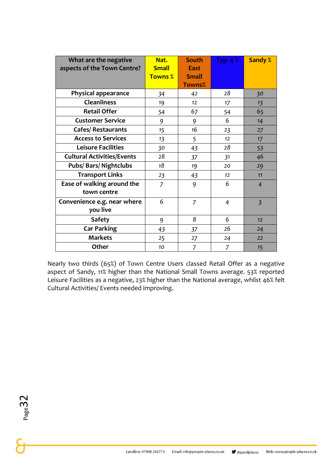| What are the negative             | Nat.           | <b>South</b>   | Typ. 4 $%$     | <b>Sandy %</b> |
|-----------------------------------|----------------|----------------|----------------|----------------|
| aspects of the Town Centre?       | <b>Small</b>   | <b>East</b>    |                |                |
|                                   | <b>Towns %</b> | <b>Small</b>   |                |                |
|                                   |                | <b>Towns%</b>  |                |                |
| <b>Physical appearance</b>        | 34             | 42             | 28             | 30             |
| <b>Cleanliness</b>                | 19             | 12             | 17             | 13             |
| <b>Retail Offer</b>               | 54             | 67             | 54             | 65             |
| <b>Customer Service</b>           | 9              | 9              | 6              | 14             |
| <b>Cafes/Restaurants</b>          | 15             | 16             | 23             | 27             |
| <b>Access to Services</b>         | 13             | 5              | 12             | 17             |
| <b>Leisure Facilities</b>         | 30             | 43             | 28             | 53             |
| <b>Cultural Activities/Events</b> | 28             | 37             | 31             | 46             |
| <b>Pubs/Bars/Nightclubs</b>       | 18             | 19             | 20             | 29             |
| <b>Transport Links</b>            | 23             | 43             | 12             | 11             |
| Ease of walking around the        | $\overline{7}$ | 9              | 6              | $\overline{4}$ |
| town centre                       |                |                |                |                |
| Convenience e.g. near where       | 6              | $\overline{7}$ | $\overline{4}$ | $\overline{3}$ |
| you live                          |                |                |                |                |
| <b>Safety</b>                     | 9              | 8              | 6              | 12             |
| <b>Car Parking</b>                | 43             | 37             | 26             | 24             |
| <b>Markets</b>                    | 25             | 27             | 24             | 22             |
| Other                             | 10             | 7              | 7              | 15             |

Nearly two thirds (65%) of Town Centre Users classed Retail Offer as a negative aspect of Sandy, 11% higher than the National Small Towns average. 53% reported Leisure Facilities as a negative, 23% higher than the National average, whilst 46% felt Cultural Activities/ Events needed improving.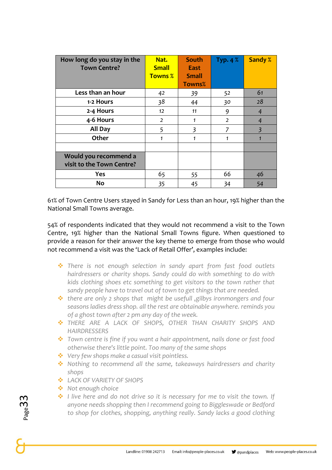| How long do you stay in the<br><b>Town Centre?</b> | Nat.<br><b>Small</b><br><b>Towns %</b> | South<br>East<br><b>Small</b><br><b>Towns%</b> | Typ. $4\%$     | <b>Sandy %</b> |
|----------------------------------------------------|----------------------------------------|------------------------------------------------|----------------|----------------|
| Less than an hour                                  | 42                                     | 39                                             | 52             | 61             |
| 1-2 Hours                                          | 38                                     | 44                                             | 30             | 28             |
| 2-4 Hours                                          | 12                                     | 11                                             | 9              | 4              |
| 4-6 Hours                                          | $\overline{2}$                         | $\mathbf{1}$                                   | $\overline{2}$ | $\overline{4}$ |
| All Day                                            | 5                                      | $\overline{3}$                                 | $\overline{7}$ | $\overline{3}$ |
| Other                                              | 1                                      | 1                                              | 1              |                |
|                                                    |                                        |                                                |                |                |
| Would you recommend a<br>visit to the Town Centre? |                                        |                                                |                |                |
| Yes                                                | 65                                     | 55                                             | 66             | 46             |
| <b>No</b>                                          | 35                                     | 45                                             | 34             | 54             |

61% of Town Centre Users stayed in Sandy for Less than an hour, 19% higher than the National Small Towns average.

54% of respondents indicated that they would not recommend a visit to the Town Centre, 19% higher than the National Small Towns figure. When questioned to provide a reason for their answer the key theme to emerge from those who would not recommend a visit was the 'Lack of Retail Offer', examples include:

- ❖ *There is not enough selection in sandy apart from fast food outlets hairdressers or charity shops. Sandy could do with something to do with kids clothing shoes etc something to get visitors to the town rather that sandy people have to travel out of town to get things that are needed.*
- ❖ *there are only 2 shops that might be usefull ,gilbys ironmongers and four seasons ladies dress shop. all the rest are obtainable anywhere. reminds you of a ghost town after 2 pm any day of the week.*
- ❖ *THERE ARE A LACK OF SHOPS, OTHER THAN CHARITY SHOPS AND HAIRDRESSERS*
- ❖ *Town centre is fine if you want a hair appointment, nails done or fast food otherwise there's little point. Too many of the same shops*
- ❖ *Very few shops make a casual visit pointless.*
- ❖ *Nothing to recommend all the same, takeaways hairdressers and charity shops*
- ❖ *LACK OF VARIETY OF SHOPS*
- ❖ *Not enough choice*
- ❖ *I live here and do not drive so it is necessary for me to visit the town. If anyone needs shopping then I recommend going to Biggleswade or Bedford to shop for clothes, shopping, anything really. Sandy lacks a good clothing*

 $_{\rm page}$ 33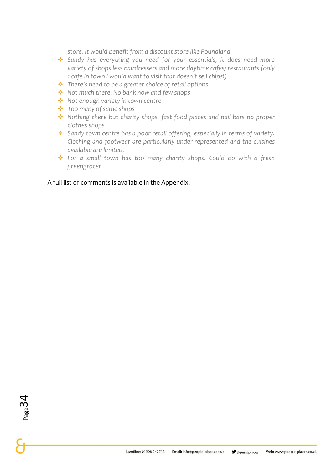*store. It would benefit from a discount store like Poundland.* 

- ❖ *Sandy has everything you need for your essentials, it does need more variety of shops less hairdressers and more daytime cafes/ restaurants (only 1 cafe in town I would want to visit that doesn't sell chips!)*
- ❖ *There's need to be a greater choice of retail options*
- ❖ *Not much there. No bank now and few shops*
- ❖ *Not enough variety in town centre*
- ❖ *Too many of same shops*
- ❖ *Nothing there but charity shops, fast food places and nail bars no proper clothes shops*
- ❖ *Sandy town centre has a poor retail offering, especially in terms of variety. Clothing and footwear are particularly under-represented and the cuisines available are limited.*
- ❖ *For a small town has too many charity shops. Could do with a fresh greengrocer*

A full list of comments is available in the Appendix.

Page 34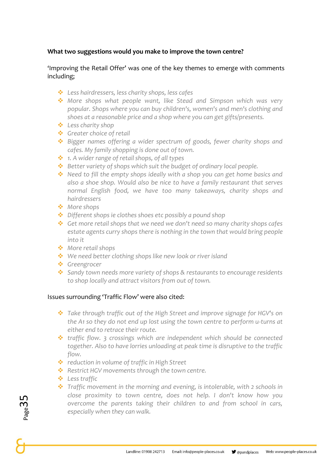#### **What two suggestions would you make to improve the town centre?**

#### 'Improving the Retail Offer' was one of the key themes to emerge with comments including;

- ❖ *Less hairdressers, less charity shops, less cafes*
- ❖ *More shops what people want, like Stead and Simpson which was very popular. Shops where you can buy children's, women's and men's clothing and shoes at a reasonable price and a shop where you can get gifts/presents.*
- ❖ *Less charity shop*
- ❖ *Greater choice of retail*
- ❖ *Bigger names offering a wider spectrum of goods, fewer charity shops and cafes. My family shopping is done out of town.*
- ❖ *1. A wider range of retail shops, of all types*
- ❖ *Better variety of shops which suit the budget of ordinary local people.*
- ❖ *Need to fill the empty shops ideally with a shop you can get home basics and also a shoe shop. Would also be nice to have a family restaurant that serves normal English food, we have too many takeaways, charity shops and hairdressers*
- ❖ *More shops*
- ❖ *Different shops ie clothes shoes etc possibly a pound shop*
- ❖ *Get more retail shops that we need we don't need so many charity shops cafes estate agents curry shops there is nothing in the town that would bring people into it*
- ❖ *More retail shops*
- ❖ *We need better clothing shops like new look or river island*
- ❖ *Greengrocer*
- ❖ *Sandy town needs more variety of shops & restaurants to encourage residents to shop locally and attract visitors from out of town.*

#### Issues surrounding 'Traffic Flow' were also cited:

- ❖ *Take through traffic out of the High Street and improve signage for HGV's on the A1 so they do not end up lost using the town centre to perform u-turns at either end to retrace their route.*
- ❖ *traffic flow. 3 crossings which are independent which should be connected together. Also to have lorries unloading at peak time is disruptive to the traffic flow.*
- ❖ *reduction in volume of traffic in High Street*
- ❖ *Restrict HGV movements through the town centre.*
- ❖ *Less traffic*
- ❖ *Traffic movement in the morning and evening, is intolerable, with 2 schools in close proximity to town centre, does not help. I don't know how you overcome the parents taking their children to and from school in cars, especially when they can walk.*

 $_{\rm Page}$ 35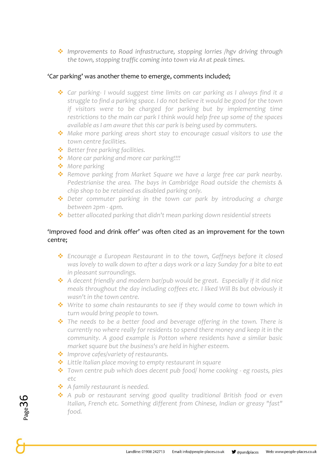❖ *Improvements to Road infrastructure, stopping lorries /hgv driving through the town, stopping traffic coming into town via A1 at peak times.*

#### 'Car parking' was another theme to emerge, comments included;

- ❖ *Car parking- I would suggest time limits on car parking as I always find it a struggle to find a parking space. I do not believe it would be good for the town if visitors were to be charged for parking but by implementing time restrictions to the main car park I think would help free up some of the spaces available as I am aware that this car park is being used by commuters.*
- ❖ *Make more parking areas short stay to encourage casual visitors to use the town centre facilities.*
- ❖ *Better free parking facilities.*
- ❖ *More car parking and more car parking!!!!*
- ❖ *More parking*
- ❖ *Remove parking from Market Square we have a large free car park nearby. Pedestrianise the area. The bays in Cambridge Road outside the chemists & chip shop to be retained as disabled parking only.*
- ❖ *Deter commuter parking in the town car park by introducing a charge between 2pm - 4pm.*
- ❖ *better allocated parking that didn't mean parking down residential streets*

#### 'Improved food and drink offer' was often cited as an improvement for the town centre;

- ❖ *Encourage a European Restaurant in to the town, Gaffneys before it closed was lovely to walk down to after a days work or a lazy Sunday for a bite to eat in pleasant surroundings.*
- ❖ *A decent friendly and modern bar/pub would be great. Especially if it did nice meals throughout the day including coffees etc. I liked Will Bs but obviously it wasn't in the town centre.*
- ❖ *Write to some chain restaurants to see if they would come to town which in turn would bring people to town.*
- ❖ *The needs to be a better food and beverage offering in the town. There is currently no where really for residents to spend there money and keep it in the community. A good example is Potton where residents have a similar basic market square but the business's are held in higher esteem.*
- ❖ *Improve cafes/variety of restaurants.*
- ❖ *Little Italian place moving to empty restaurant in square*
- ❖ *Town centre pub which does decent pub food/ home cooking - eg roasts, pies etc*
- ❖ *A family restaurant is needed.*
- ❖ *A pub or restaurant serving good quality traditional British food or even Italian, French etc. Something different from Chinese, Indian or greasy "fast" food.*

Page36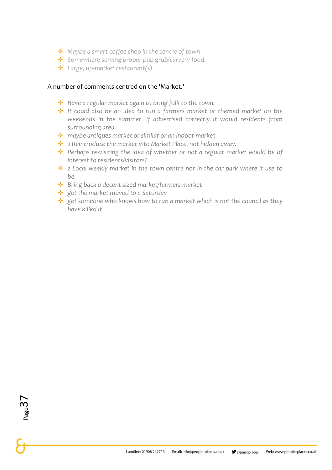- ❖ *Maybe a smart coffee shop in the centre of town*
- ❖ *Somewhere serving proper pub grub/carvery food.*
- ❖ *Large, up-market restaurant(s)*

#### A number of comments centred on the 'Market.'

- ❖ *Have a regular market again to bring folk to the town.*
- ❖ *It could also be an idea to run a farmers market or themed market on the weekends in the summer. If advertised correctly it would residents from surrounding area.*
- ❖ *maybe antiques market or similar or an indoor market*
- ❖ *2 Reintroduce the market into Market Place, not hidden away.*
- ❖ *Perhaps re-visiting the idea of whether or not a regular market would be of interest to residents/visitors?*
- ❖ *2 Local weekly market in the town centre not in the car park where it use to be.*
- ❖ *Bring back a decent sized market/farmers market*
- ❖ *get the market moved to a Saturday*
- ❖ *get someone who knows how to run a market which is not the council as they have killed it*

Page $3$ <sub> $7$ </sub>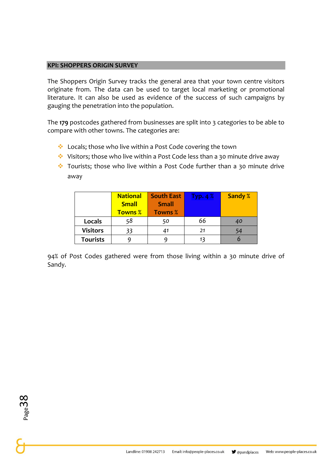#### **KPI: SHOPPERS ORIGIN SURVEY**

The Shoppers Origin Survey tracks the general area that your town centre visitors originate from. The data can be used to target local marketing or promotional literature. It can also be used as evidence of the success of such campaigns by gauging the penetration into the population.

The **179** postcodes gathered from businesses are split into 3 categories to be able to compare with other towns. The categories are:

- ❖ Locals; those who live within a Post Code covering the town
- ❖ Visitors; those who live within a Post Code less than a 30 minute drive away
- ❖ Tourists; those who live within a Post Code further than a 30 minute drive away

|                 | <b>National</b><br><b>Small</b> | <b>South East</b><br><b>Small</b> | Typ. $4\%$ | <b>Sandy %</b> |
|-----------------|---------------------------------|-----------------------------------|------------|----------------|
|                 | <b>Towns %</b>                  | <b>Towns %</b>                    |            |                |
| Locals          | 58                              | 50                                | 66         | 40             |
| <b>Visitors</b> | 33                              |                                   | 21         | 54             |
| <b>Tourists</b> |                                 |                                   | 13         |                |

94% of Post Codes gathered were from those living within a 30 minute drive of Sandy.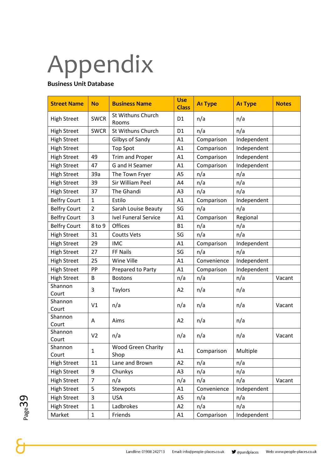# Appendix

#### **Business Unit Database**

| <b>Street Name</b>  | <b>No</b>      | <b>Business Name</b>              | <b>Use</b><br><b>Class</b> | <b>A<sub>1</sub></b> Type | <b>A<sub>1</sub></b> Type | <b>Notes</b> |
|---------------------|----------------|-----------------------------------|----------------------------|---------------------------|---------------------------|--------------|
| <b>High Street</b>  | <b>SWCR</b>    | <b>St Withuns Church</b><br>Rooms | D <sub>1</sub>             | n/a                       | n/a                       |              |
| <b>High Street</b>  | <b>SWCR</b>    | St Withuns Church                 | D <sub>1</sub>             | n/a                       | n/a                       |              |
| <b>High Street</b>  |                | Gilbys of Sandy                   | A1                         | Comparison                | Independent               |              |
| <b>High Street</b>  |                | <b>Top Spot</b>                   | A1                         | Comparison                | Independent               |              |
| <b>High Street</b>  | 49             | Trim and Proper                   | A1                         | Comparison                | Independent               |              |
| <b>High Street</b>  | 47             | G and H Seamer                    | A1                         | Comparison                | Independent               |              |
| <b>High Street</b>  | 39a            | The Town Fryer                    | A <sub>5</sub>             | n/a                       | n/a                       |              |
| <b>High Street</b>  | 39             | Sir William Peel                  | A4                         | n/a                       | n/a                       |              |
| <b>High Street</b>  | 37             | The Ghandi                        | A <sub>3</sub>             | n/a                       | n/a                       |              |
| <b>Belfry Court</b> | $\mathbf{1}$   | Estilo                            | A1                         | Comparison                | Independent               |              |
| <b>Belfry Court</b> | $\overline{2}$ | Sarah Louise Beauty               | SG                         | n/a                       | n/a                       |              |
| <b>Belfry Court</b> | 3              | <b>Ivel Funeral Service</b>       | A1                         | Comparison                | Regional                  |              |
| <b>Belfry Court</b> | 8 to 9         | Offices                           | <b>B1</b>                  | n/a                       | n/a                       |              |
| <b>High Street</b>  | 31             | <b>Coutts Vets</b>                | SG                         | n/a                       | n/a                       |              |
| <b>High Street</b>  | 29             | <b>IMC</b>                        | A1                         | Comparison                | Independent               |              |
| <b>High Street</b>  | 27             | FF Nails                          | SG                         | n/a                       | n/a                       |              |
| <b>High Street</b>  | 25             | Wine Ville                        | A1                         | Convenience               | Independent               |              |
| <b>High Street</b>  | PP             | Prepared to Party                 | A1                         | Comparison                | Independent               |              |
| <b>High Street</b>  | B              | <b>Bostons</b>                    | n/a                        | n/a                       | n/a                       | Vacant       |
| Shannon<br>Court    | 3              | <b>Taylors</b>                    | A2                         | n/a                       | n/a                       |              |
| Shannon<br>Court    | V <sub>1</sub> | n/a                               | n/a                        | n/a                       | n/a                       | Vacant       |
| Shannon<br>Court    | A              | Aims                              | A2                         | n/a                       | n/a                       |              |
| Shannon<br>Court    | V <sub>2</sub> | n/a                               | n/a                        | n/a                       | n/a                       | Vacant       |
| Shannon<br>Court    | $\mathbf 1$    | <b>Wood Green Charity</b><br>Shop | A1                         | Comparison                | Multiple                  |              |
| <b>High Street</b>  | 11             | Lane and Brown                    | A2                         | n/a                       | n/a                       |              |
| <b>High Street</b>  | 9              | Chunkys                           | A <sub>3</sub>             | n/a                       | n/a                       |              |
| <b>High Street</b>  | $\overline{7}$ | n/a                               | n/a                        | n/a                       | n/a                       | Vacant       |
| <b>High Street</b>  | 5              | Stewpots                          | A1                         | Convenience               | Independent               |              |
| <b>High Street</b>  | 3              | <b>USA</b>                        | A5                         | n/a                       | n/a                       |              |
| <b>High Street</b>  | $\mathbf 1$    | Ladbrokes                         | A <sub>2</sub>             | n/a                       | n/a                       |              |
| Market              | $\mathbf 1$    | Friends                           | A1                         | Comparison                | Independent               |              |

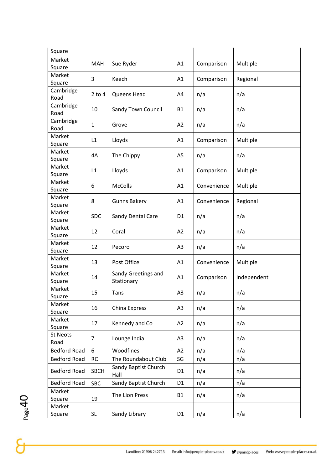| Square              |              |                                   |                |             |             |
|---------------------|--------------|-----------------------------------|----------------|-------------|-------------|
| Market              |              |                                   |                |             |             |
| Square              | <b>MAH</b>   | Sue Ryder                         | A1             | Comparison  | Multiple    |
| Market              |              |                                   |                |             |             |
| Square              | 3            | Keech                             | A1             | Comparison  | Regional    |
| Cambridge           |              |                                   |                |             |             |
| Road                | $2$ to $4$   | Queens Head                       | A4             | n/a         | n/a         |
| Cambridge           |              |                                   |                |             |             |
| Road                | 10           | Sandy Town Council                | <b>B1</b>      | n/a         | n/a         |
| Cambridge           | $\mathbf{1}$ |                                   | A2             |             |             |
| Road                |              | Grove                             |                | n/a         | n/a         |
| Market              | L1           | Lloyds                            | A1             | Comparison  | Multiple    |
| Square              |              |                                   |                |             |             |
| Market              | 4A           | The Chippy                        | A <sub>5</sub> | n/a         | n/a         |
| Square              |              |                                   |                |             |             |
| Market              | L1           | Lloyds                            | A1             | Comparison  | Multiple    |
| Square              |              |                                   |                |             |             |
| Market              | 6            | McColls                           | A1             | Convenience | Multiple    |
| Square              |              |                                   |                |             |             |
| Market              | 8            | <b>Gunns Bakery</b>               | A1             | Convenience | Regional    |
| Square              |              |                                   |                |             |             |
| Market              | <b>SDC</b>   | Sandy Dental Care                 | D <sub>1</sub> | n/a         | n/a         |
| Square              |              |                                   |                |             |             |
| Market              | 12           | Coral                             | A2             | n/a         | n/a         |
| Square              |              |                                   |                |             |             |
| Market              | 12           | Pecoro                            | A3             | n/a         | n/a         |
| Square              |              |                                   |                |             |             |
| Market              | 13           | Post Office                       | A1             | Convenience | Multiple    |
| Square              |              |                                   |                |             |             |
| Market              | 14           | Sandy Greetings and<br>Stationary | A1             | Comparison  | Independent |
| Square<br>Market    |              |                                   |                |             |             |
| Square              | 15           | Tans                              | A3             | n/a         | n/a         |
| Market              |              |                                   |                |             |             |
| Square              | 16           | China Express                     | A3             | n/a         | n/a         |
| Market              |              |                                   |                |             |             |
| Square              | 17           | Kennedy and Co                    | A2             | n/a         | n/a         |
| <b>St Neots</b>     |              |                                   |                |             |             |
| Road                | 7            | Lounge India                      | A3             | n/a         | n/a         |
| <b>Bedford Road</b> | 6            | Woodfines                         | A2             | n/a         | n/a         |
| <b>Bedford Road</b> | <b>RC</b>    | The Roundabout Club               | SG             | n/a         | n/a         |
|                     |              | Sandy Baptist Church              |                |             |             |
| <b>Bedford Road</b> | <b>SBCH</b>  | Hall                              | D <sub>1</sub> | n/a         | n/a         |
| <b>Bedford Road</b> | <b>SBC</b>   | Sandy Baptist Church              | D <sub>1</sub> | n/a         | n/a         |
| Market              |              |                                   |                |             |             |
| Square              | 19           | The Lion Press                    | <b>B1</b>      | n/a         | n/a         |
| Market              |              |                                   |                |             |             |
| Square              | <b>SL</b>    | Sandy Library                     | D <sub>1</sub> | n/a         | n/a         |
|                     |              |                                   |                |             |             |

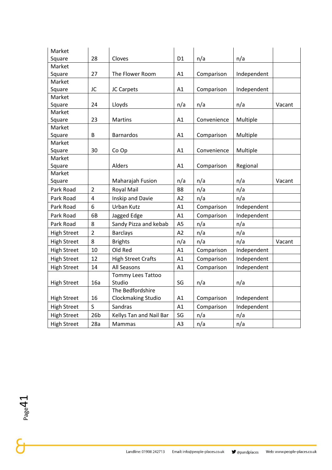| Market             |                 |                           |                |             |             |        |
|--------------------|-----------------|---------------------------|----------------|-------------|-------------|--------|
| Square             | 28              | Cloves                    | D <sub>1</sub> | n/a         | n/a         |        |
| Market             |                 |                           |                |             |             |        |
| Square             | 27              | The Flower Room           | A1             | Comparison  | Independent |        |
| Market             |                 |                           |                |             |             |        |
| Square             | JC              | JC Carpets                | A1             | Comparison  | Independent |        |
| Market             |                 |                           |                |             |             |        |
| Square             | 24              | Lloyds                    | n/a            | n/a         | n/a         | Vacant |
| Market             |                 |                           |                |             |             |        |
| Square             | 23              | <b>Martins</b>            | A1             | Convenience | Multiple    |        |
| Market             |                 |                           |                |             |             |        |
| Square<br>Market   | B               | <b>Barnardos</b>          | A1             | Comparison  | Multiple    |        |
| Square             | 30              | Co Op                     | A1             | Convenience | Multiple    |        |
| Market             |                 |                           |                |             |             |        |
| Square             |                 | Alders                    | A1             | Comparison  | Regional    |        |
| Market             |                 |                           |                |             |             |        |
| Square             |                 | Maharajah Fusion          | n/a            | n/a         | n/a         | Vacant |
| Park Road          | $\overline{2}$  | <b>Royal Mail</b>         | B <sub>8</sub> | n/a         | n/a         |        |
| Park Road          | $\overline{4}$  | Inskip and Davie          | A2             | n/a         | n/a         |        |
| Park Road          | 6               | <b>Urban Kutz</b>         | A1             | Comparison  | Independent |        |
| Park Road          | 6B              | Jagged Edge               | A1             | Comparison  | Independent |        |
| Park Road          | 8               | Sandy Pizza and kebab     | A <sub>5</sub> | n/a         | n/a         |        |
| <b>High Street</b> | $\overline{2}$  | <b>Barclays</b>           | A2             | n/a         | n/a         |        |
| <b>High Street</b> | 8               | <b>Brights</b>            | n/a            | n/a         | n/a         | Vacant |
| <b>High Street</b> | 10              | Old Red                   | A1             | Comparison  | Independent |        |
| <b>High Street</b> | 12              | <b>High Street Crafts</b> | A1             | Comparison  | Independent |        |
| <b>High Street</b> | 14              | All Seasons               | A1             | Comparison  | Independent |        |
|                    |                 | Tommy Lees Tattoo         |                |             |             |        |
| <b>High Street</b> | 16a             | Studio                    | SG             | n/a         | n/a         |        |
|                    |                 | The Bedfordshire          |                |             |             |        |
| <b>High Street</b> | 16              | Clockmaking Studio        | A1             | Comparison  | Independent |        |
| <b>High Street</b> | $\mathsf{S}$    | Sandras                   | A1             | Comparison  | Independent |        |
| <b>High Street</b> | 26 <sub>b</sub> | Kellys Tan and Nail Bar   | SG             | n/a         | n/a         |        |
| <b>High Street</b> | 28a             | Mammas                    | A <sub>3</sub> | n/a         | n/a         |        |

 $\sum_{\text{page 41}}$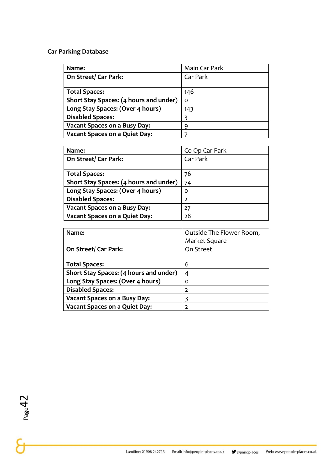#### **Car Parking Database**

| Name:                                  | Main Car Park |
|----------------------------------------|---------------|
| On Street/Car Park:                    | Car Park      |
|                                        |               |
| <b>Total Spaces:</b>                   | 146           |
| Short Stay Spaces: (4 hours and under) | O             |
| Long Stay Spaces: (Over 4 hours)       | 143           |
| <b>Disabled Spaces:</b>                |               |
| <b>Vacant Spaces on a Busy Day:</b>    | q             |
| <b>Vacant Spaces on a Quiet Day:</b>   |               |

| Name:                                  | Co Op Car Park |
|----------------------------------------|----------------|
| On Street/ Car Park:                   | Car Park       |
|                                        |                |
| <b>Total Spaces:</b>                   | 76             |
| Short Stay Spaces: (4 hours and under) | 74             |
| Long Stay Spaces: (Over 4 hours)       | 0              |
| <b>Disabled Spaces:</b>                | $\overline{2}$ |
| <b>Vacant Spaces on a Busy Day:</b>    | 27             |
| <b>Vacant Spaces on a Quiet Day:</b>   | 28             |

| Name:                                  | Outside The Flower Room, |
|----------------------------------------|--------------------------|
|                                        | Market Square            |
| On Street/ Car Park:                   | On Street                |
|                                        |                          |
| <b>Total Spaces:</b>                   | 6                        |
| Short Stay Spaces: (4 hours and under) | 4                        |
| Long Stay Spaces: (Over 4 hours)       | O                        |
| <b>Disabled Spaces:</b>                | $\mathcal{L}$            |
| <b>Vacant Spaces on a Busy Day:</b>    | 3                        |
| <b>Vacant Spaces on a Quiet Day:</b>   | $\mathcal{P}$            |

 $P_{\text{page}}$ <sup>Page42</sup>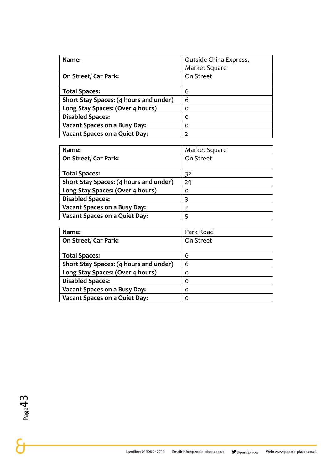| Name:                                  | Outside China Express, |
|----------------------------------------|------------------------|
|                                        | Market Square          |
| On Street/ Car Park:                   | On Street              |
|                                        |                        |
| <b>Total Spaces:</b>                   | 6                      |
| Short Stay Spaces: (4 hours and under) | 6                      |
| Long Stay Spaces: (Over 4 hours)       | O                      |
| <b>Disabled Spaces:</b>                | $\Omega$               |
| <b>Vacant Spaces on a Busy Day:</b>    | 0                      |
| <b>Vacant Spaces on a Quiet Day:</b>   | $\overline{2}$         |

| Name:                                  | Market Square  |
|----------------------------------------|----------------|
| <b>On Street/ Car Park:</b>            | On Street      |
|                                        |                |
| <b>Total Spaces:</b>                   | 32             |
| Short Stay Spaces: (4 hours and under) | 29             |
| Long Stay Spaces: (Over 4 hours)       | 0              |
| <b>Disabled Spaces:</b>                | 3              |
| <b>Vacant Spaces on a Busy Day:</b>    | $\overline{2}$ |
| <b>Vacant Spaces on a Quiet Day:</b>   |                |

| Name:                                  | Park Road |
|----------------------------------------|-----------|
| On Street/ Car Park:                   | On Street |
|                                        |           |
| <b>Total Spaces:</b>                   | 6         |
| Short Stay Spaces: (4 hours and under) | 6         |
| Long Stay Spaces: (Over 4 hours)       | O         |
| <b>Disabled Spaces:</b>                | O         |
| <b>Vacant Spaces on a Busy Day:</b>    | O         |
| <b>Vacant Spaces on a Quiet Day:</b>   | O         |

 $P_{\text{page}}$ <sup>Page43</sup>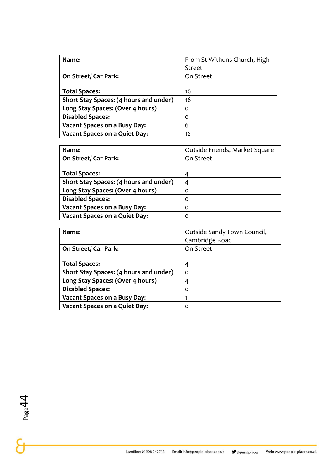| Name:                                  | From St Withuns Church, High |
|----------------------------------------|------------------------------|
|                                        | <b>Street</b>                |
| On Street/ Car Park:                   | On Street                    |
|                                        |                              |
| <b>Total Spaces:</b>                   | 16                           |
| Short Stay Spaces: (4 hours and under) | 16                           |
| Long Stay Spaces: (Over 4 hours)       | O                            |
| <b>Disabled Spaces:</b>                | O                            |
| <b>Vacant Spaces on a Busy Day:</b>    | 6                            |
| <b>Vacant Spaces on a Quiet Day:</b>   | 12                           |

| Name:                                  | Outside Friends, Market Square |
|----------------------------------------|--------------------------------|
| On Street/ Car Park:                   | On Street                      |
|                                        |                                |
| <b>Total Spaces:</b>                   |                                |
| Short Stay Spaces: (4 hours and under) | 4                              |
| Long Stay Spaces: (Over 4 hours)       | O                              |
| <b>Disabled Spaces:</b>                | $\Omega$                       |
| <b>Vacant Spaces on a Busy Day:</b>    | $\Omega$                       |
| <b>Vacant Spaces on a Quiet Day:</b>   | Ω                              |

| Name:                                  | Outside Sandy Town Council,<br>Cambridge Road |
|----------------------------------------|-----------------------------------------------|
| On Street/Car Park:                    | On Street                                     |
| <b>Total Spaces:</b>                   | 4                                             |
| Short Stay Spaces: (4 hours and under) | $\Omega$                                      |
| Long Stay Spaces: (Over 4 hours)       | 4                                             |
| <b>Disabled Spaces:</b>                | 0                                             |
| <b>Vacant Spaces on a Busy Day:</b>    |                                               |
| <b>Vacant Spaces on a Quiet Day:</b>   | O                                             |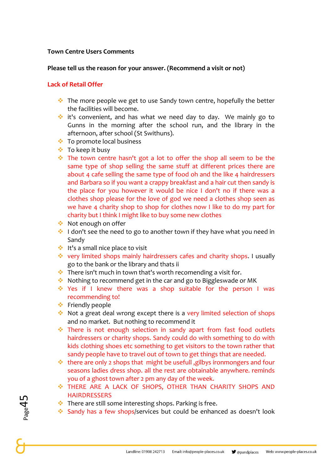#### **Town Centre Users Comments**

#### **Please tell us the reason for your answer. (Recommend a visit or not)**

#### **Lack of Retail Offer**

- ❖ The more people we get to use Sandy town centre, hopefully the better the facilities will become.
- ❖ it's convenient, and has what we need day to day. We mainly go to Gunns in the morning after the school run, and the library in the afternoon, after school (St Swithuns).
- ❖ To promote local business
- ❖ To keep it busy
- ❖ The town centre hasn't got a lot to offer the shop all seem to be the same type of shop selling the same stuff at different prices there are about 4 cafe selling the same type of food oh and the like 4 hairdressers and Barbara so if you want a crappy breakfast and a hair cut then sandy is the place for you however it would be nice I don't no if there was a clothes shop please for the love of god we need a clothes shop seen as we have 4 charity shop to shop for clothes now I like to do my part for charity but I think I might like to buy some new clothes
- ❖ Not enough on offer
- ❖ I don't see the need to go to another town if they have what you need in Sandy
- ❖ It's a small nice place to visit
- ❖ very limited shops mainly hairdressers cafes and charity shops. I usually go to the bank or the library and thats ii
- ❖ There isn't much in town that's worth recomending a visit for.
- ❖ Nothing to recommend get in the car and go to Biggleswade or MK
- ❖ Yes if I knew there was a shop suitable for the person I was recommending to!
- ❖ Friendly people
- ❖ Not a great deal wrong except there is a very limited selection of shops and no market. But nothing to recommend it
- ❖ There is not enough selection in sandy apart from fast food outlets hairdressers or charity shops. Sandy could do with something to do with kids clothing shoes etc something to get visitors to the town rather that sandy people have to travel out of town to get things that are needed.
- ❖ there are only 2 shops that might be usefull ,gilbys ironmongers and four seasons ladies dress shop. all the rest are obtainable anywhere. reminds you of a ghost town after 2 pm any day of the week.
- ❖ THERE ARE A LACK OF SHOPS, OTHER THAN CHARITY SHOPS AND **HAIRDRESSERS**
- ❖ There are still some interesting shops. Parking is free.
- ❖ Sandy has a few shops/services but could be enhanced as doesn't look

Page45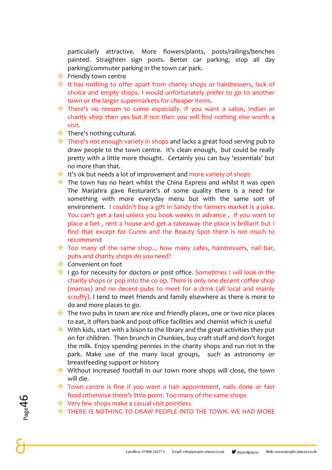particularly attractive. More flowers/plants, posts/railings/benches painted. Straighten sign posts. Better car parking, stop all day parking/commuter parking in the town car park.

- ❖ Friendly town centre
- ❖ It has nothing to offer apart from charity shops or hairdressers, lack of choice and empty shops. I would unfortunately prefer to go to another town or the larger supermarkets for cheaper items.
- ❖ There's no reason to come especially. If you want a salon, Indian or charity shop then yes but if not then you will find nothing else worth a visit.
- ❖ There's nothing cultural.
- ❖ There's not enough variety in shops and lacks a great food serving pub to draw people to the town centre. It's clean enough, but could be really pretty with a little more thought. Certainly you can buy 'essentials' but no more than that.
- ❖ It's ok but needs a lot of improvement and more variety of shops
- ❖ The town has no heart whilst the China Express and whilst it was open The Marjahra gave Resturant's of some quality there is a need for something with more everyday menu but with the same sort of environment. I couldn't buy a gift in Sandy the farmers market is a joke. You can't get a taxi unless you book weeks in advance , if you want to place a bet , rent a house and get a takeaway the place is brilliant but I find that except for Gunns and the Beauty Spot there is not much to recommend
- ❖ Too many of the same shop... how many cafes, hairdressers, nail bar, pubs and charity shops do you need?
- ❖ Convenient on foot
- ❖ I go for necessity for doctors or post office. Sometimes I will look in the charity shops or pop into the co op. There is only one decent coffee shop (mamas) and no decent pubs to meet for a drink (all local and mainly scruffy). I tend to meet friends and family elsewhere as there is more to do and more places to go.
- ❖ The two pubs in town are nice and friendly places, one or two nice places to eat, it offers bank and post office facilities and chemist which is useful
- ❖ With kids, start with a bison to the library and the great activities they put on for children. Then brunch in Chunkies, buy craft stuff and don't forget the milk. Enjoy spending pennies in the charity shops and run riot in the park. Make use of the many local groups, such as astronomy or breastfeeding support or history
- ❖ Without increased footfall in our town more shops will close, the town will die.
- ❖ Town centre is fine if you want a hair appointment, nails done or fast food otherwise there's little point. Too many of the same shops
- ❖ Very few shops make a casual visit pointless.
- ❖ THERE IS NOTHING TO DRAW PEOPLE INTO THE TOWN. WE HAD MORE

Page46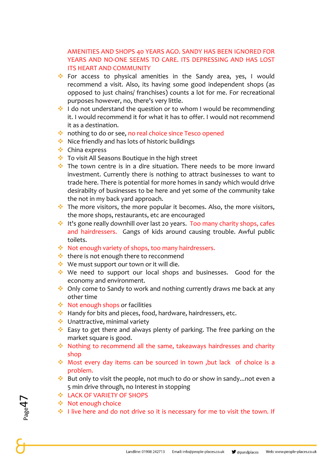#### AMENITIES AND SHOPS 40 YEARS AGO. SANDY HAS BEEN IGNORED FOR YEARS AND NO-ONE SEEMS TO CARE. ITS DEPRESSING AND HAS LOST ITS HEART AND COMMUNITY

- ❖ For access to physical amenities in the Sandy area, yes, I would recommend a visit. Also, its having some good independent shops (as opposed to just chains/ franchises) counts a lot for me. For recreational purposes however, no, there's very little.
- ❖ I do not understand the question or to whom I would be recommending it. I would recommend it for what it has to offer. I would not recommend it as a destination.
- ❖ nothing to do or see, no real choice since Tesco opened
- ❖ Nice friendly and has lots of historic buildings
- ❖ China express
- ❖ To visit All Seasons Boutique in the high street
- ❖ The town centre is in a dire situation. There needs to be more inward investment. Currently there is nothing to attract businesses to want to trade here. There is potential for more homes in sandy which would drive desirabilty of businesses to be here and yet some of the community take the not in my back yard approach.
- $\cdot$  The more visitors, the more popular it becomes. Also, the more visitors, the more shops, restaurants, etc are encouraged
- ❖ It's gone really downhill over last 20 years. Too many charity shops, cafes and hairdressers. Gangs of kids around causing trouble. Awful public toilets.
- ❖ Not enough variety of shops, too many hairdressers.
- ❖ there is not enough there to recconmend
- ❖ We must support our town or it will die.
- ❖ We need to support our local shops and businesses. Good for the economy and environment.
- ❖ Only come to Sandy to work and nothing currently draws me back at any other time
- ❖ Not enough shops or facilities
- ❖ Handy for bits and pieces, food, hardware, hairdressers, etc.
- ❖ Unattractive, minimal variety
- ❖ Easy to get there and always plenty of parking. The free parking on the market square is good.
- ❖ Nothing to recommend all the same, takeaways hairdresses and charity shop
- ❖ Most every day items can be sourced in town ,but lack of choice is a problem.
- ❖ But only to visit the people, not much to do or show in sandy...not even a 5 min drive through, no Interest in stopping
- ❖ LACK OF VARIETY OF SHOPS
- ❖ Not enough choice
- ❖ I live here and do not drive so it is necessary for me to visit the town. If

 $P_{\rm age}$ 47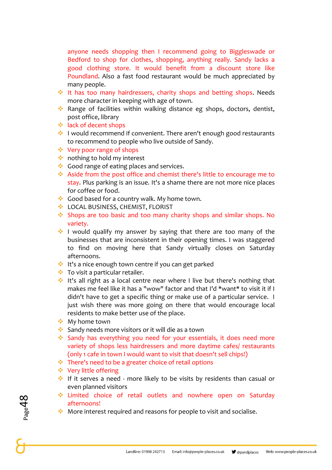anyone needs shopping then I recommend going to Biggleswade or Bedford to shop for clothes, shopping, anything really. Sandy lacks a good clothing store. It would benefit from a discount store like Poundland. Also a fast food restaurant would be much appreciated by many people.

- ❖ It has too many hairdressers, charity shops and betting shops. Needs more character in keeping with age of town.
- ❖ Range of facilities within walking distance eg shops, doctors, dentist, post office, library
- ❖ lack of decent shops
- ❖ I would recommend if convenient. There aren't enough good restaurants to recommend to people who live outside of Sandy.
- ❖ Very poor range of shops
- ❖ nothing to hold my interest
- ❖ Good range of eating places and services.
- ❖ Aside from the post office and chemist there's little to encourage me to stay. Plus parking is an issue. It's a shame there are not more nice places for coffee or food.
- ❖ Good based for a country walk. My home town.
- ❖ LOCAL BUSINESS, CHEMIST, FLORIST
- ❖ Shops are too basic and too many charity shops and similar shops. No variety.
- ❖ I would qualify my answer by saying that there are too many of the businesses that are inconsistent in their opening times. I was staggered to find on moving here that Sandy virtually closes on Saturday afternoons.
- ❖ It's a nice enough town centre if you can get parked
- ❖ To visit a particular retailer.
- ❖ It's all right as a local centre near where I live but there's nothing that makes me feel like it has a "wow" factor and that I'd \*want\* to visit it if I didn't have to get a specific thing or make use of a particular service. I just wish there was more going on there that would encourage local residents to make better use of the place.
- ❖ My home town
- ❖ Sandy needs more visitors or it will die as a town
- ❖ Sandy has everything you need for your essentials, it does need more variety of shops less hairdressers and more daytime cafes/ restaurants (only 1 cafe in town I would want to visit that doesn't sell chips!)
- ❖ There's need to be a greater choice of retail options
- ❖ Very little offering
- ❖ If it serves a need more likely to be visits by residents than casual or even planned visitors
- ❖ Limited choice of retail outlets and nowhere open on Saturday afternoons!
- ❖ More interest required and reasons for people to visit and socialise.

 $P_{\rm age}$ 48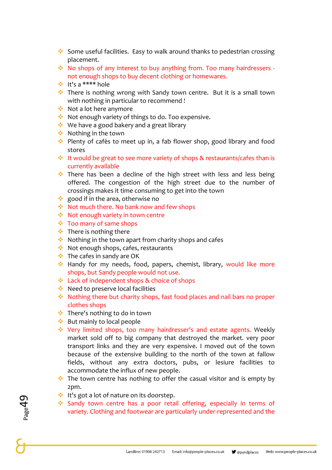- ❖ Some useful facilities. Easy to walk around thanks to pedestrian crossing placement.
- ❖ No shops of any interest to buy anything from. Too many hairdressers not enough shops to buy decent clothing or homewares.
- ❖ It's a \*\*\*\* hole
- ❖ There is nothing wrong with Sandy town centre. But it is a small town with nothing in particular to recommend !
- ❖ Not a lot here anymore
- ❖ Not enough variety of things to do. Too expensive.
- ❖ We have a good bakery and a great library
- ❖ Nothing in the town
- ❖ Plenty of cafès to meet up in, a fab flower shop, good library and food stores
- ❖ It would be great to see more variety of shops & restaurants/cafes than is currently available
- ❖ There has been a decline of the high street with less and less being offered. The congestion of the high street due to the number of crossings makes it time consuming to get into the town
- ❖ good if in the area, otherwise no
- ❖ Not much there. No bank now and few shops
- ❖ Not enough variety in town centre
- ❖ Too many of same shops
- ❖ There is nothing there
- ❖ Nothing in the town apart from charity shops and cafes
- ❖ Not enough shops, cafes, restaurants
- ❖ The cafes in sandy are OK
- ❖ Handy for my needs, food, papers, chemist, library, would like more shops, but Sandy people would not use.
- ❖ Lack of independent shops & choice of shops
- ❖ Need to preserve local facilities
- ❖ Nothing there but charity shops, fast food places and nail bars no proper clothes shops
- ❖ There's nothing to do in town
- ❖ But mainly to local people
- ❖ Very limited shops, too many hairdresser's and estate agents. Weekly market sold off to big company that destroyed the market. very poor transport links and they are very expensive. I moved out of the town because of the extensive building to the north of the town at fallow fields, without any extra doctors, pubs, or lesiure facilities to accommodate the influx of new people.
- $\cdot$  The town centre has nothing to offer the casual visitor and is empty by 2pm.
- ❖ It's got a lot of nature on its doorstep.
- ❖ Sandy town centre has a poor retail offering, especially in terms of variety. Clothing and footwear are particularly under-represented and the

 $P_{\rm age}$ 49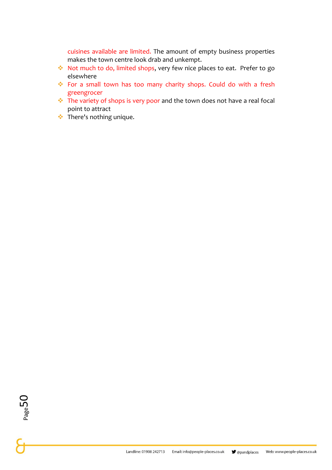cuisines available are limited. The amount of empty business properties makes the town centre look drab and unkempt.

- ❖ Not much to do, limited shops, very few nice places to eat. Prefer to go elsewhere
- ❖ For a small town has too many charity shops. Could do with a fresh greengrocer
- ❖ The variety of shops is very poor and the town does not have a real focal point to attract
- ❖ There's nothing unique.

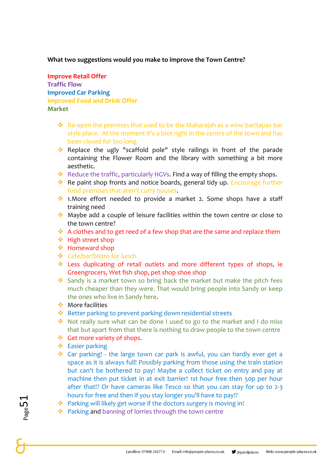#### **What two suggestions would you make to improve the Town Centre?**

**Improve Retail Offer Traffic Flow Improved Car Parking Improved Food and Drink Offer Market**

- ❖ Re-open the premises that used to be the Maharajah as a wine bar/tapas bar style place. At the moment it's a blot right in the centre of the town and has been closed for too long.
- ❖ Replace the ugly "scaffold pole" style railings in front of the parade containing the Flower Room and the library with something a bit more aesthetic.
- ❖ Reduce the traffic, particularly HGVs. Find a way of filling the empty shops.
- ❖ Re paint shop fronts and notice boards, general tidy up. Encourage further food premises that aren't curry houses.
- ❖ 1.More effort needed to provide a market 2. Some shops have a staff training need
- ❖ Maybe add a couple of leisure facilities within the town centre or close to the town centre?
- ❖ A clothes and to get reed of a few shop that are the same and replace them
- ❖ High street shop
- ❖ Homeward shop
- ❖ Cafe/bar/bistro for lunch
- ❖ Less duplicating of retail outlets and more different types of shops, ie Greengrocers, Wet fish shop, pet shop shoe shop
- ❖ Sandy is a market town so bring back the market but make the pitch fees much cheaper than they were. That would bring people into Sandy or keep the ones who live in Sandy here.
- ❖ More facilities
- ❖ Better parking to prevent parking down residential streets
- ❖ Not really sure what can be done I used to go to the market and I do miss that but apart from that there is nothing to draw people to the town centre
- ❖ Get more variety of shops.
- ❖ Easier parking
- ❖ Car parking! the large town car park is awful, you can hardly ever get a space as it is always full! Possibly parking from those using the train station but can't be bothered to pay! Maybe a collect ticket on entry and pay at machine then put ticket in at exit barrier! 1st hour free then 50p per hour after that!? Or have cameras like Tesco so that you can stay for up to 2-3 hours for free and then if you stay longer you'll have to pay!?
- ❖ Parking will likely get worse if the doctors surgery is moving in!
- ❖ Parking and banning of lorries through the town centre

 $_{\rm Page}$ 51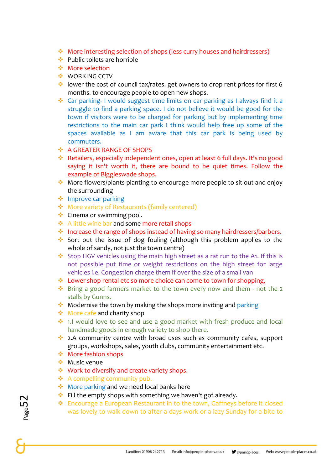- ❖ More interesting selection of shops (less curry houses and hairdressers)
- ❖ Public toilets are horrible
- ❖ More selection
- ❖ WORKING CCTV
- ❖ lower the cost of council tax/rates. get owners to drop rent prices for first 6 months. to encourage people to open new shops.
- ❖ Car parking- I would suggest time limits on car parking as I always find it a struggle to find a parking space. I do not believe it would be good for the town if visitors were to be charged for parking but by implementing time restrictions to the main car park I think would help free up some of the spaces available as I am aware that this car park is being used by commuters.
- ❖ A GREATER RANGE OF SHOPS
- ❖ Retailers, especially independent ones, open at least 6 full days. It's no good saying it isn't worth it, there are bound to be quiet times. Follow the example of Biggleswade shops.
- ❖ More flowers/plants planting to encourage more people to sit out and enjoy the surrounding
- ❖ Improve car parking
- ❖ More variety of Restaurants (family centered)
- ❖ Cinema or swimming pool.
- ❖ A little wine bar and some more retail shops
- ❖ Increase the range of shops instead of having so many hairdressers/barbers.
- ❖ Sort out the issue of dog fouling (although this problem applies to the whole of sandy, not just the town centre)
- ❖ Stop HGV vehicles using the main high street as a rat run to the A1. If this is not possible put time or weight restrictions on the high street for large vehicles i.e. Congestion charge them if over the size of a small van
- ❖ Lower shop rental etc so more choice can come to town for shopping,
- ❖ Bring a good farmers market to the town every now and them not the 2 stalls by Gunns.
- ❖ Modernise the town by making the shops more inviting and parking
- ❖ More cafe and charity shop
- ❖ 1.I would love to see and use a good market with fresh produce and local handmade goods in enough variety to shop there.
- ❖ 2.A community centre with broad uses such as community cafes, support groups, workshops, sales, youth clubs, community entertainment etc.
- ❖ More fashion shops
- ❖ Music venue
- ❖ Work to diversify and create variety shops.
- ❖ A compelling community pub.
- ❖ More parking and we need local banks here
- ❖ Fill the empty shops with something we haven't got already.
- ❖ Encourage a European Restaurant in to the town, Gaffneys before it closed was lovely to walk down to after a days work or a lazy Sunday for a bite to

 $_{\rm Page}$ 52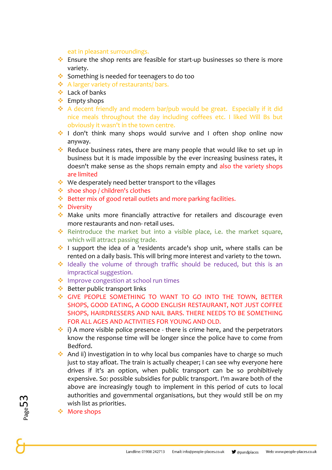#### eat in pleasant surroundings.

- ❖ Ensure the shop rents are feasible for start-up businesses so there is more variety.
- ❖ Something is needed for teenagers to do too
- ❖ A larger variety of restaurants/ bars.
- ❖ Lack of banks
- ❖ Empty shops
- ❖ A decent friendly and modern bar/pub would be great. Especially if it did nice meals throughout the day including coffees etc. I liked Will Bs but obviously it wasn't in the town centre.
- ❖ I don't think many shops would survive and I often shop online now anyway.
- ❖ Reduce business rates, there are many people that would like to set up in business but it is made impossible by the ever increasing business rates, it doesn't make sense as the shops remain empty and also the variety shops are limited
- ❖ We desperately need better transport to the villages
- ❖ shoe shop / children's clothes
- ❖ Better mix of good retail outlets and more parking facilities.
- ❖ Diversity
- ❖ Make units more financially attractive for retailers and discourage even more restaurants and non- retail uses.
- ❖ Reintroduce the market but into a visible place, i.e. the market square, which will attract passing trade.
- ❖ I support the idea of a 'residents arcade's shop unit, where stalls can be rented on a daily basis. This will bring more interest and variety to the town.
- ❖ Ideally the volume of through traffic should be reduced, but this is an impractical suggestion.
- ❖ Improve congestion at school run times
- ❖ Better public transport links
- ❖ GIVE PEOPLE SOMETHING TO WANT TO GO INTO THE TOWN, BETTER SHOPS, GOOD EATING, A GOOD ENGLISH RESTAURANT, NOT JUST COFFEE SHOPS, HAIRDRESSERS AND NAIL BARS. THERE NEEDS TO BE SOMETHING FOR ALL AGES AND ACTIVITIES FOR YOUNG AND OLD.
- $\cdot$  i) A more visible police presence there is crime here, and the perpetrators know the response time will be longer since the police have to come from Bedford.
- ❖ And ii) investigation in to why local bus companies have to charge so much just to stay afloat. The train is actually cheaper; I can see why everyone here drives if it's an option, when public transport can be so prohibitively expensive. So: possible subsidies for public transport. I'm aware both of the above are increasingly tough to implement in this period of cuts to local authorities and governmental organisations, but they would still be on my wish list as priorities.
- ❖ More shops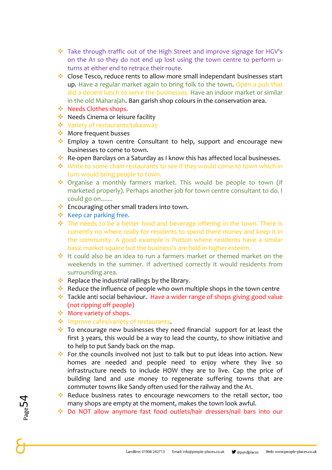- ❖ Take through traffic out of the High Street and improve signage for HGV's on the A1 so they do not end up lost using the town centre to perform uturns at either end to retrace their route.
- ❖ Close Tesco, reduce rents to allow more small independant businesses start up. Have a regular market again to bring folk to the town. Open a pub that did a decent lunch to serve the businesses. Have an indoor market or similar in the old Maharajah. Ban garish shop colours in the conservation area.
- ❖ Needs Clothes shops.
- ❖ Needs Cinema or leisure facility
- ❖ Variety of restaurants/takeaway
- ❖ More frequent busses
- ❖ Employ a town centre Consultant to help, support and encourage new businesses to come to town.
- ❖ Re-open Barclays on a Saturday as I know this has affected local businesses.
- ❖ Write to some chain restaurants to see if they would come to town which in turn would bring people to town.
- ❖ Organise a monthly farmers market. This would be people to town (if marketed properly). Perhaps another job for town centre consultant to do. I could go on.......
- ❖ Encouraging other small traders into town.
- ❖ Keep car parking free.
- ❖ The needs to be a better food and beverage offering in the town. There is currently no where really for residents to spend there money and keep it in the community. A good example is Potton where residents have a similar basic market square but the business's are held in higher esteem.
- ❖ It could also be an idea to run a farmers market or themed market on the weekends in the summer. If advertised correctly it would residents from surrounding area.
- ❖ Replace the industrial railings by the library.
- ❖ Reduce the influence of people who own multiple shops in the town centre
- ❖ Tackle anti social behaviour. Have a wider range of shops giving good value (not ripping off people)
- ❖ More variety of shops.
- ❖ Improve cafes/variety of restaurants.
- ❖ To encourage new businesses they need financial support for at least the first 3 years, this would be a way to lead the county, to show initiative and to help to put Sandy back on the map.
- ❖ For the councils involved not just to talk but to put ideas into action. New homes are needed and people need to enjoy where they live so infrastructure needs to include HOW they are to live. Cap the price of building land and use money to regenerate suffering towns that are commuter towns like Sandy often used for the railway and the A1.
- ❖ Reduce business rates to encourage newcomers to the retail sector, too many shops are empty at the moment, makes the town look awful.
- ❖ Do NOT allow anymore fast food outlets/hair dressers/nail bars into our

Page54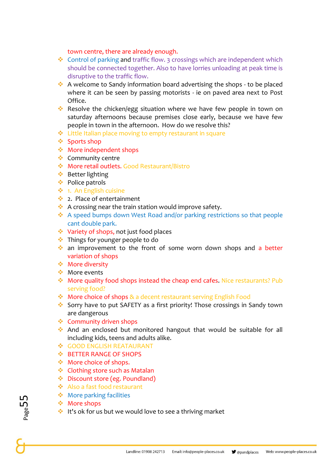#### town centre, there are already enough.

- ❖ Control of parking and traffic flow. 3 crossings which are independent which should be connected together. Also to have lorries unloading at peak time is disruptive to the traffic flow.
- ❖ A welcome to Sandy information board advertising the shops to be placed where it can be seen by passing motorists - ie on paved area next to Post Office.
- ❖ Resolve the chicken/egg situation where we have few people in town on saturday afternoons because premises close early, because we have few people in town in the afternoon. How do we resolve this?
- ❖ Little Italian place moving to empty restaurant in square
- ❖ Sports shop
- ❖ More independent shops
- ❖ Community centre
- ❖ More retail outlets. Good Restaurant/Bistro
- ❖ Better lighting
- ❖ Police patrols
- ❖ 1. An English cuisine
- ❖ 2. Place of entertainment
- ❖ A crossing near the train station would improve safety.
- ❖ A speed bumps down West Road and/or parking restrictions so that people cant double park.
- ❖ Variety of shops, not just food places
- ❖ Things for younger people to do
- ❖ an improvement to the front of some worn down shops and a better variation of shops
- ❖ More diversity
- ❖ More events
- ❖ More quality food shops instead the cheap end cafes. Nice restaurants? Pub serving food?
- ❖ More choice of shops & a decent restaurant serving English Food
- ❖ Sorry have to put SAFETY as a first priority! Those crossings in Sandy town are dangerous
- ❖ Community driven shops
- ❖ And an enclosed but monitored hangout that would be suitable for all including kids, teens and adults alike.
- ❖ GOOD ENGLISH REATAURANT
- ❖ BETTER RANGE OF SHOPS
- ❖ More choice of shops.
- ❖ Clothing store such as Matalan
- ❖ Discount store (eg. Poundland)
- ❖ Also a fast food restaurant
- ❖ More parking facilities
- ❖ More shops
- ❖ It's ok for us but we would love to see a thriving market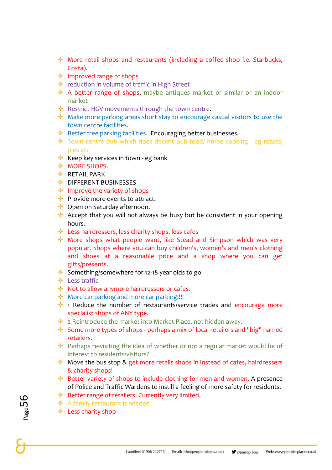- ❖ More retail shops and restaurants (including a coffee shop i.e. Starbucks, Costa).
- ❖ Improved range of shops
- ❖ reduction in volume of traffic in High Street
- ❖ A better range of shops, maybe antiques market or similar or an indoor market
- ❖ Restrict HGV movements through the town centre.
- ❖ Make more parking areas short stay to encourage casual visitors to use the town centre facilities.
- ❖ Better free parking facilities. Encouraging better businesses.
- ❖ Town centre pub which does decent pub food/ home cooking eg roasts, pies etc
- ❖ Keep key services in town eg bank
- ❖ MORE SHOPS.
- ❖ RETAIL PARK
- **❖ DIFFERENT BUSINESSES**
- ❖ Improve the variety of shops
- ❖ Provide more events to attract.
- ❖ Open on Saturday afternoon.
- ❖ Accept that you will not always be busy but be consistent in your opening hours.
- ❖ Less hairdressers, less charity shops, less cafes
- ❖ More shops what people want, like Stead and Simpson which was very popular. Shops where you can buy children's, women's and men's clothing and shoes at a reasonable price and a shop where you can get gifts/presents.
- ❖ Something/somewhere for 12-18 year olds to go
- ❖ Less traffic
- ❖ Not to allow anymore hairdressers or cafes.
- ❖ More car parking and more car parking!!!!
- ❖ 1 Reduce the number of restaurants/service trades and encourage more specialist shops of ANY type.
- ❖ 2 Reintroduce the market into Market Place, not hidden away.
- ❖ Some more types of shops perhaps a mix of local retailers and "big" named retailers.
- ❖ Perhaps re-visiting the idea of whether or not a regular market would be of interest to residents/visitors?
- ❖ Move the bus stop & get more retails shops in instead of cafes, hairdressers & charity shops!
- ❖ Better variety of shops to include clothing for men and women. A presence of Police and Traffic Wardens to instill a feeling of more safety for residents.
- ❖ Better range of retailers. Currently very limited.
- ❖ A family restaurant is needed.
- ❖ Less charity shop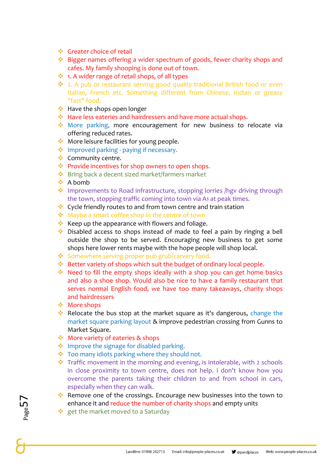- ❖ Greater choice of retail
- ❖ Bigger names offering a wider spectrum of goods, fewer charity shops and cafes. My family shooping is done out of town.
- ❖ 1. A wider range of retail shops, of all types
- ❖ 2. A pub or restaurant serving good quality traditional British food or even Italian, French etc. Something different from Chinese, Indian or greasy "fast" food.
- ❖ Have the shops open longer
- ❖ Have less eateries and hairdressers and have more actual shops.
- ❖ More parking, more encouragement for new business to relocate via offering reduced rates.
- ❖ More leisure facilities for young people.
- ❖ Improved parking paying if necessary.
- ❖ Community centre.
- ❖ Provide incentives for shop owners to open shops.
- ❖ Bring back a decent sized market/farmers market
- ❖ A bomb
- ❖ Improvements to Road infrastructure, stopping lorries /hgv driving through the town, stopping traffic coming into town via A1 at peak times.
- ❖ Cycle friendly routes to and from town centre and train station
- ❖ Maybe a smart coffee shop in the centre of town
- ❖ Keep up the appearance with flowers and foliage.
- ❖ Disabled access to shops instead of made to feel a pain by ringing a bell outside the shop to be served. Encouraging new business to get some shops here lower rents maybe with the hope people will shop local.
- ❖ Somewhere serving proper pub grub/carvery food.
- ❖ Better variety of shops which suit the budget of ordinary local people.
- ❖ Need to fill the empty shops ideally with a shop you can get home basics and also a shoe shop. Would also be nice to have a family restaurant that serves normal English food, we have too many takeaways, charity shops and hairdressers
- ❖ More shops
- ❖ Relocate the bus stop at the market square as it's dangerous, change the market square parking layout & improve pedestrian crossing from Gunns to Market Square.
- ❖ More variety of eateries & shops
- ❖ Improve the signage for disabled parking.
- ❖ Too many idiots parking where they should not.
- ❖ Traffic movement in the morning and evening, is intolerable, with 2 schools in close proximity to town centre, does not help. I don't know how you overcome the parents taking their children to and from school in cars, especially when they can walk.
- ❖ Remove one of the crossings. Encourage new businesses into the town to enhance it and reduce the number of charity shops and empty units
- ❖ get the market moved to a Saturday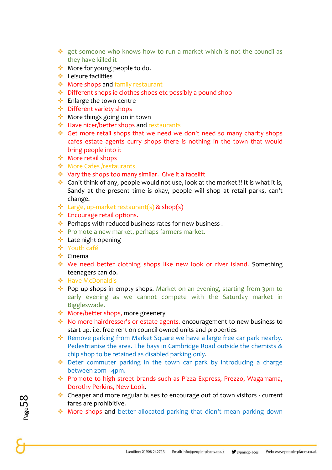- ❖ get someone who knows how to run a market which is not the council as they have killed it
- ❖ More for young people to do.
- ❖ Leisure facilities
- ❖ More shops and family restaurant
- ❖ Different shops ie clothes shoes etc possibly a pound shop
- ❖ Enlarge the town centre
- ❖ Different variety shops
- ❖ More things going on in town
- ❖ Have nicer/better shops and restaurants
- ❖ Get more retail shops that we need we don't need so many charity shops cafes estate agents curry shops there is nothing in the town that would bring people into it
- ❖ More retail shops
- ❖ More Cafes /restaurants
- ❖ Vary the shops too many similar. Give it a facelift
- ❖ Can't think of any, people would not use, look at the market!!! It is what it is, Sandy at the present time is okay, people will shop at retail parks, can't change.
- ❖ Large, up-market restaurant(s) & shop(s)
- ❖ Encourage retail options.
- ❖ Perhaps with reduced business rates for new business .
- ❖ Promote a new market, perhaps farmers market.
- ❖ Late night opening
- ❖ Youth café
- ❖ Cinema
- ❖ We need better clothing shops like new look or river island. Something teenagers can do.
- ❖ Have McDonald's
- ❖ Pop up shops in empty shops. Market on an evening, starting from 3pm to early evening as we cannot compete with the Saturday market in Biggleswade.
- ❖ More/better shops, more greenery
- ❖ No more hairdresser's or estate agents. encouragement to new business to start up. i.e. free rent on council owned units and properties
- ❖ Remove parking from Market Square we have a large free car park nearby. Pedestrianise the area. The bays in Cambridge Road outside the chemists & chip shop to be retained as disabled parking only.
- ❖ Deter commuter parking in the town car park by introducing a charge between 2pm - 4pm.
- ❖ Promote to high street brands such as Pizza Express, Prezzo, Wagamama, Dorothy Perkins, New Look.
- ❖ Cheaper and more regular buses to encourage out of town visitors current fares are prohibitive.
- ❖ More shops and better allocated parking that didn't mean parking down

Page58